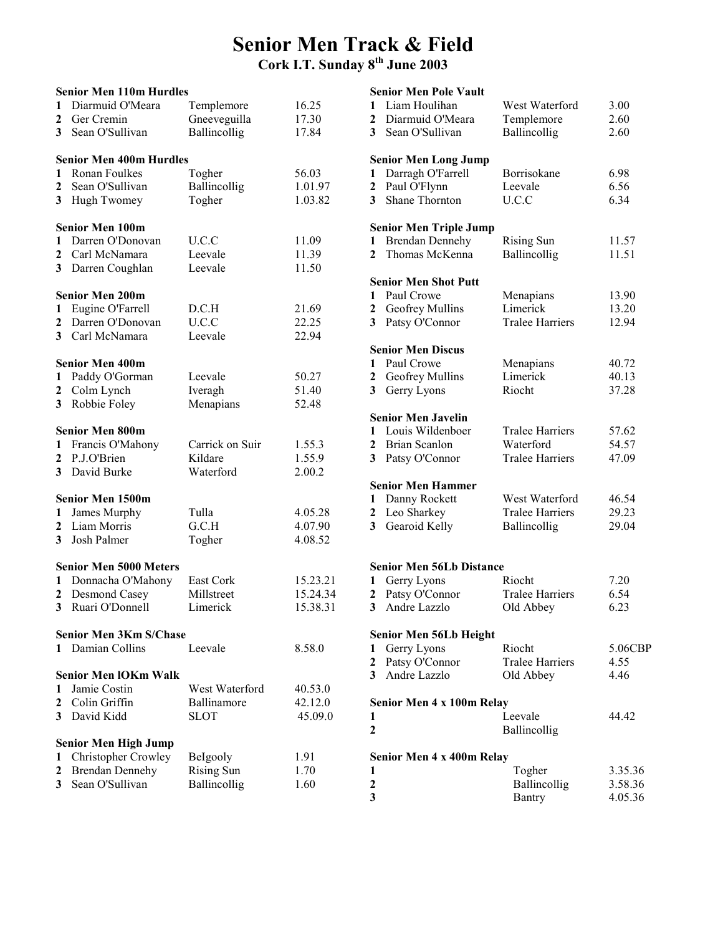### Senior Men Track & Field Cork I.T. Sunday 8th June 2003

|                | <b>Senior Men 110m Hurdles</b> |                   |          |  |  |  |
|----------------|--------------------------------|-------------------|----------|--|--|--|
| $\mathbf{1}$   | Diarmuid O'Meara               | Templemore        | 16.25    |  |  |  |
| $\mathbf{2}$   | Ger Cremin                     | Gneeveguilla      | 17.30    |  |  |  |
| 3 <sup>1</sup> | Sean O'Sullivan                | Ballincollig      | 17.84    |  |  |  |
|                |                                |                   |          |  |  |  |
|                | <b>Senior Men 400m Hurdles</b> |                   |          |  |  |  |
|                | 1 Ronan Foulkes                | Togher            | 56.03    |  |  |  |
|                |                                |                   |          |  |  |  |
| $\mathbf{2}$   | Sean O'Sullivan                | Ballincollig      | 1.01.97  |  |  |  |
| 3 <sup>1</sup> | Hugh Twomey                    | Togher            | 1.03.82  |  |  |  |
|                |                                |                   |          |  |  |  |
|                | <b>Senior Men 100m</b>         |                   |          |  |  |  |
| $\mathbf{1}$   | Darren O'Donovan               | U.C.C             | 11.09    |  |  |  |
| $\mathbf{2}$   | Carl McNamara                  | Leevale           | 11.39    |  |  |  |
| 3 <sup>1</sup> | Darren Coughlan                | Leevale           | 11.50    |  |  |  |
|                |                                |                   |          |  |  |  |
|                | <b>Senior Men 200m</b>         |                   |          |  |  |  |
| 1              | Eugine O'Farrell               | D.C.H             | 21.69    |  |  |  |
| $\mathbf{2}$   | Darren O'Donovan               | U.C.C             | 22.25    |  |  |  |
| 3 <sup>1</sup> | Carl McNamara                  | Leevale           | 22.94    |  |  |  |
|                |                                |                   |          |  |  |  |
|                | <b>Senior Men 400m</b>         |                   |          |  |  |  |
| $\mathbf{1}$   | Paddy O'Gorman                 | Leevale           | 50.27    |  |  |  |
| $\mathbf{2}$   | Colm Lynch                     | Iveragh           | 51.40    |  |  |  |
| 3 <sup>1</sup> | Robbie Foley                   | Menapians         | 52.48    |  |  |  |
|                |                                |                   |          |  |  |  |
|                | <b>Senior Men 800m</b>         |                   |          |  |  |  |
| $\mathbf{1}$   | Francis O'Mahony               | Carrick on Suir   | 1.55.3   |  |  |  |
| $\mathbf{2}$   | P.J.O'Brien                    | Kildare           | 1.55.9   |  |  |  |
| 3              | David Burke                    | Waterford         | 2.00.2   |  |  |  |
|                |                                |                   |          |  |  |  |
|                | <b>Senior Men 1500m</b>        |                   |          |  |  |  |
| $\mathbf{1}$   | James Murphy                   | Tulla             | 4.05.28  |  |  |  |
| $\mathbf{2}$   | Liam Morris                    | G.C.H             | 4.07.90  |  |  |  |
| 3 <sup>1</sup> | Josh Palmer                    | Togher            | 4.08.52  |  |  |  |
|                |                                |                   |          |  |  |  |
|                | <b>Senior Men 5000 Meters</b>  |                   |          |  |  |  |
| $\mathbf{1}$   | Donnacha O'Mahony              | East Cork         | 15.23.21 |  |  |  |
| $\mathbf{2}$   | <b>Desmond Casey</b>           | Millstreet        | 15.24.34 |  |  |  |
| 3              | Ruari O'Donnell                | Limerick          | 15.38.31 |  |  |  |
|                |                                |                   |          |  |  |  |
|                | <b>Senior Men 3Km S/Chase</b>  |                   |          |  |  |  |
| 1              | Damian Collins                 | Leevale           | 8.58.0   |  |  |  |
|                |                                |                   |          |  |  |  |
|                | <b>Senior Men IOKm Walk</b>    |                   |          |  |  |  |
| 1              | Jamie Costin                   | West Waterford    | 40.53.0  |  |  |  |
| $\mathbf{2}$   | Colin Griffin                  | Ballinamore       | 42.12.0  |  |  |  |
| 3              | David Kidd                     | <b>SLOT</b>       | 45.09.0  |  |  |  |
|                |                                |                   |          |  |  |  |
|                | <b>Senior Men High Jump</b>    |                   |          |  |  |  |
| 1              | Christopher Crowley            | Belgooly          | 1.91     |  |  |  |
|                | <b>Brendan Dennehy</b>         | <b>Rising Sun</b> | 1.70     |  |  |  |
| 2              |                                |                   |          |  |  |  |
| 3              | Sean O'Sullivan                | Ballincollig      | 1.60     |  |  |  |

|                | <b>Senior Men Pole Vault</b>    |                        |         |
|----------------|---------------------------------|------------------------|---------|
| 1              | Liam Houlihan                   | West Waterford         | 3.00    |
| $\mathbf{2}$   | Diarmuid O'Meara                | Templemore             | 2.60    |
| 3 <sup>1</sup> | Sean O'Sullivan                 | Ballincollig           | 2.60    |
|                |                                 |                        |         |
|                | <b>Senior Men Long Jump</b>     |                        |         |
| 1              | Darragh O'Farrell               | Borrisokane            | 6.98    |
| 2              | Paul O'Flynn                    | Leevale                | 6.56    |
| 3              | <b>Shane Thornton</b>           | U.C.C                  | 6.34    |
|                | <b>Senior Men Triple Jump</b>   |                        |         |
| 1              | <b>Brendan Dennehy</b>          | Rising Sun             | 11.57   |
| $\mathbf{2}$   | Thomas McKenna                  | Ballincollig           | 11.51   |
|                |                                 |                        |         |
|                | <b>Senior Men Shot Putt</b>     |                        |         |
| 1              | Paul Crowe                      | Menapians              | 13.90   |
| 2              | Geofrey Mullins                 | Limerick               | 13.20   |
| 3              | Patsy O'Connor                  | <b>Tralee Harriers</b> | 12.94   |
|                |                                 |                        |         |
|                | <b>Senior Men Discus</b>        |                        |         |
| 1              | Paul Crowe                      | Menapians              | 40.72   |
| 2              | Geofrey Mullins                 | Limerick               | 40.13   |
| 3              | Gerry Lyons                     | Riocht                 | 37.28   |
|                | <b>Senior Men Javelin</b>       |                        |         |
| 1              | Louis Wildenboer                | <b>Tralee Harriers</b> | 57.62   |
| 2              | Brian Scanlon                   | Waterford              | 54.57   |
| 3              |                                 | <b>Tralee Harriers</b> | 47.09   |
|                | Patsy O'Connor                  |                        |         |
|                | <b>Senior Men Hammer</b>        |                        |         |
| 1              | Danny Rockett                   | West Waterford         | 46.54   |
| 2              | Leo Sharkey                     | <b>Tralee Harriers</b> | 29.23   |
| 3              | Gearoid Kelly                   | Ballincollig           | 29.04   |
|                |                                 |                        |         |
|                | <b>Senior Men 56Lb Distance</b> |                        |         |
| 1              | Gerry Lyons                     | Riocht                 | 7.20    |
| 2              | Patsy O'Connor                  | <b>Tralee Harriers</b> | 6.54    |
| 3              | Andre Lazzlo                    | Old Abbey              | 6.23    |
|                | <b>Senior Men 56Lb Height</b>   |                        |         |
| 1              | Gerry Lyons                     | Riocht                 |         |
|                |                                 |                        | 5.06CBP |
| 2              | Patsy O'Connor                  | <b>Tralee Harriers</b> | 4.55    |
| 3              | Andre Lazzlo                    | Old Abbey              | 4.46    |
|                | Senior Men 4 x 100m Relay       |                        |         |
| 1              |                                 | Leevale                | 44.42   |
| 2              |                                 | Ballincollig           |         |
|                |                                 |                        |         |
|                | Senior Men 4 x 400m Relay       |                        |         |
| 1              |                                 | Togher                 | 3.35.36 |
| 2              |                                 | Ballincollig           | 3.58.36 |
| 3              |                                 | <b>Bantry</b>          | 4.05.36 |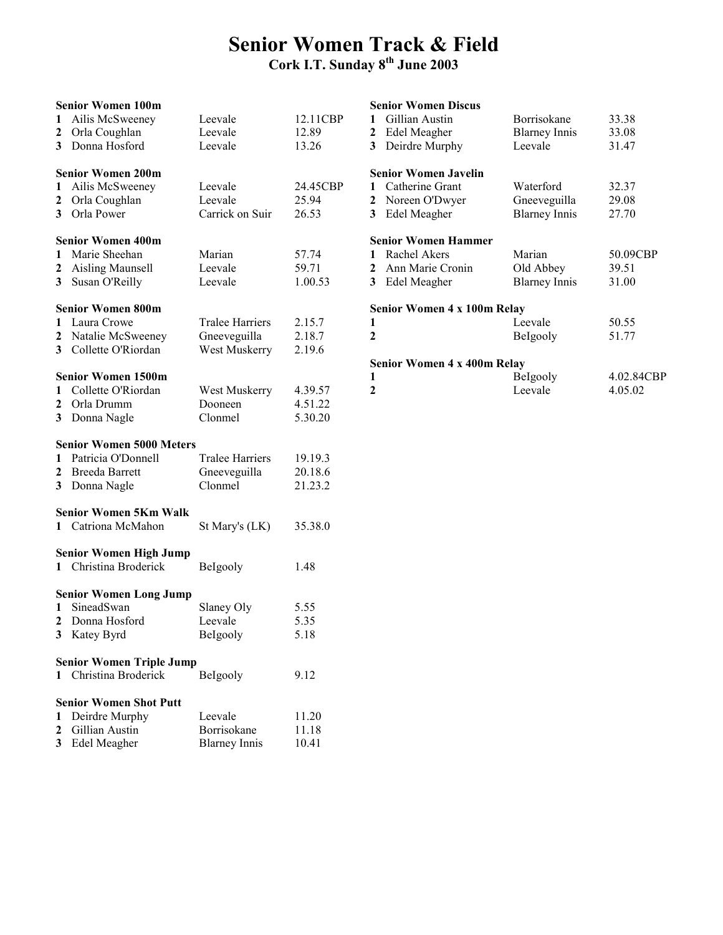## Senior Women Track & Field

### Cork I.T. Sunday 8th June 2003

| 1<br>2                 | <b>Senior Women 100m</b><br>Ailis McSweeney<br>Orla Coughlan                                  | Leevale<br>Leevale                                      | 12.11CBP<br>12.89             | 1<br>2            | <b>Senior Women Discus</b><br>Gillian Austin<br>Edel Meagher                     | Borrisokane<br><b>Blarney Innis</b>               | 33.38<br>33.08             |
|------------------------|-----------------------------------------------------------------------------------------------|---------------------------------------------------------|-------------------------------|-------------------|----------------------------------------------------------------------------------|---------------------------------------------------|----------------------------|
| 3                      | Donna Hosford                                                                                 | Leevale                                                 | 13.26                         | 3                 | Deirdre Murphy                                                                   | Leevale                                           | 31.47                      |
| 1<br>2                 | <b>Senior Women 200m</b><br>Ailis McSweeney<br>Orla Coughlan<br>3 Orla Power                  | Leevale<br>Leevale<br>Carrick on Suir                   | 24.45CBP<br>25.94<br>26.53    | 1<br>2<br>3       | <b>Senior Women Javelin</b><br>Catherine Grant<br>Noreen O'Dwyer<br>Edel Meagher | Waterford<br>Gneeveguilla<br><b>Blarney Innis</b> | 32.37<br>29.08<br>27.70    |
| $\mathbf{1}$<br>2<br>3 | <b>Senior Women 400m</b><br>Marie Sheehan<br><b>Aisling Maunsell</b><br>Susan O'Reilly        | Marian<br>Leevale<br>Leevale                            | 57.74<br>59.71<br>1.00.53     | 1<br>2<br>3       | <b>Senior Women Hammer</b><br>Rachel Akers<br>Ann Marie Cronin<br>Edel Meagher   | Marian<br>Old Abbey<br><b>Blarney Innis</b>       | 50.09CBP<br>39.51<br>31.00 |
| 1<br>2<br>3            | <b>Senior Women 800m</b><br>Laura Crowe<br>Natalie McSweeney<br>Collette O'Riordan            | <b>Tralee Harriers</b><br>Gneeveguilla<br>West Muskerry | 2.15.7<br>2.18.7<br>2.19.6    | 1<br>$\mathbf{2}$ | Senior Women 4 x 100m Relay                                                      | Leevale<br>Belgooly                               | 50.55<br>51.77             |
| 1<br>2                 | <b>Senior Women 1500m</b><br>Collette O'Riordan<br>Orla Drumm<br>3 Donna Nagle                | West Muskerry<br>Dooneen<br>Clonmel                     | 4.39.57<br>4.51.22<br>5.30.20 | 1<br>$\mathbf{2}$ | Senior Women 4 x 400m Relay                                                      | Belgooly<br>Leevale                               | 4.02.84CBP<br>4.05.02      |
| 1<br>2<br>3            | <b>Senior Women 5000 Meters</b><br>Patricia O'Donnell<br><b>Breeda Barrett</b><br>Donna Nagle | <b>Tralee Harriers</b><br>Gneeveguilla<br>Clonmel       | 19.19.3<br>20.18.6<br>21.23.2 |                   |                                                                                  |                                                   |                            |
|                        | <b>Senior Women 5Km Walk</b><br>1 Catriona McMahon                                            | St Mary's (LK)                                          | 35.38.0                       |                   |                                                                                  |                                                   |                            |
|                        | <b>Senior Women High Jump</b><br>1 Christina Broderick                                        | BeIgooly                                                | 1.48                          |                   |                                                                                  |                                                   |                            |
| 1                      | <b>Senior Women Long Jump</b><br>SineadSwan<br>Donna Hosford<br>3 Katey Byrd                  | Slaney Oly<br>Leevale<br>Belgooly                       | 5.55<br>5.35<br>5.18          |                   |                                                                                  |                                                   |                            |
|                        | <b>Senior Women Triple Jump</b><br>1 Christina Broderick                                      | BeIgooly                                                | 9.12                          |                   |                                                                                  |                                                   |                            |
|                        | <b>Senior Women Shot Putt</b>                                                                 |                                                         |                               |                   |                                                                                  |                                                   |                            |
| $\mathbf{2}$           | Deirdre Murphy<br>Gillian Austin<br>3 Edel Meagher                                            | Leevale<br>Borrisokane<br><b>Blarney Innis</b>          | 11.20<br>11.18<br>10.41       |                   |                                                                                  |                                                   |                            |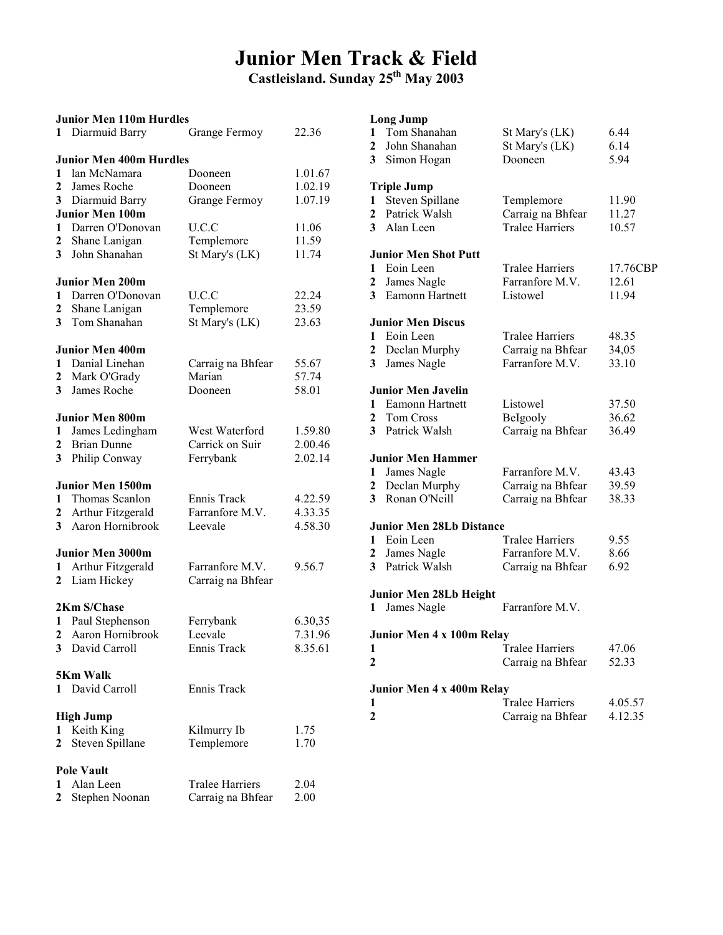# Junior Men Track & Field

Castleisland. Sunday 25<sup>th</sup> May 2003

| <b>Junior Men 110m Hurdles</b> |                                |                        |         |  |  |  |  |  |
|--------------------------------|--------------------------------|------------------------|---------|--|--|--|--|--|
| 1                              | Diarmuid Barry                 | Grange Fermoy          | 22.36   |  |  |  |  |  |
|                                | <b>Junior Men 400m Hurdles</b> |                        |         |  |  |  |  |  |
| 1                              | lan McNamara                   | Dooneen                | 1.01.67 |  |  |  |  |  |
| $\mathbf{2}$                   | James Roche                    | Dooneen                | 1.02.19 |  |  |  |  |  |
| 3                              | Diarmuid Barry                 | Grange Fermoy          | 1.07.19 |  |  |  |  |  |
|                                | <b>Junior Men 100m</b>         |                        |         |  |  |  |  |  |
| 1                              | Darren O'Donovan               | U.C.C                  | 11.06   |  |  |  |  |  |
| $\mathbf{2}$                   | Shane Lanigan                  | Templemore             | 11.59   |  |  |  |  |  |
| 3 <sup>1</sup>                 | John Shanahan                  | St Mary's (LK)         | 11.74   |  |  |  |  |  |
|                                | <b>Junior Men 200m</b>         |                        |         |  |  |  |  |  |
| 1                              | Darren O'Donovan               | U.C.C                  | 22.24   |  |  |  |  |  |
| $\boldsymbol{2}$               | Shane Lanigan                  | Templemore             | 23.59   |  |  |  |  |  |
| 3                              | Tom Shanahan                   | St Mary's (LK)         | 23.63   |  |  |  |  |  |
|                                | <b>Junior Men 400m</b>         |                        |         |  |  |  |  |  |
| $\mathbf{1}$                   | Danial Linehan                 | Carraig na Bhfear      | 55.67   |  |  |  |  |  |
| $\boldsymbol{2}$               | Mark O'Grady                   | Marian                 | 57.74   |  |  |  |  |  |
| 3 <sup>1</sup>                 | James Roche                    | Dooneen                | 58.01   |  |  |  |  |  |
|                                | <b>Junior Men 800m</b>         |                        |         |  |  |  |  |  |
| 1                              | James Ledingham                | West Waterford         | 1.59.80 |  |  |  |  |  |
| 2                              | <b>Brian Dunne</b>             | Carrick on Suir        | 2.00.46 |  |  |  |  |  |
| 3                              | Philip Conway                  | Ferrybank              | 2.02.14 |  |  |  |  |  |
|                                | <b>Junior Men 1500m</b>        |                        |         |  |  |  |  |  |
| 1                              | Thomas Scanlon                 | Ennis Track            | 4.22.59 |  |  |  |  |  |
| $\overline{2}$                 | Arthur Fitzgerald              | Farranfore M.V.        | 4.33.35 |  |  |  |  |  |
| 3                              | Aaron Hornibrook               | Leevale                | 4.58.30 |  |  |  |  |  |
|                                | <b>Junior Men 3000m</b>        |                        |         |  |  |  |  |  |
| 1                              | Arthur Fitzgerald              | Farranfore M.V.        | 9.56.7  |  |  |  |  |  |
| $\mathbf{2}$                   | Liam Hickey                    | Carraig na Bhfear      |         |  |  |  |  |  |
|                                | 2Km S/Chase                    |                        |         |  |  |  |  |  |
| 1                              | Paul Stephenson                | Ferrybank              | 6.30,35 |  |  |  |  |  |
|                                | 2 Aaron Hornibrook             | Leevale                | 7.31.96 |  |  |  |  |  |
|                                | 3 David Carroll                | Ennis Track            | 8.35.61 |  |  |  |  |  |
|                                | 5Km Walk                       |                        |         |  |  |  |  |  |
| 1                              | David Carroll                  | Ennis Track            |         |  |  |  |  |  |
|                                | <b>High Jump</b>               |                        |         |  |  |  |  |  |
| 1                              | Keith King                     | Kilmurry Ib            | 1.75    |  |  |  |  |  |
| $\mathbf{2}$                   | Steven Spillane                | Templemore             | 1.70    |  |  |  |  |  |
|                                | <b>Pole Vault</b>              |                        |         |  |  |  |  |  |
| 1                              | Alan Leen                      | <b>Tralee Harriers</b> | 2.04    |  |  |  |  |  |
| 2                              | Stephen Noonan                 | Carraig na Bhfear      | 2.00    |  |  |  |  |  |

#### Long Jump

| 1<br>2         | Tom Shanahan<br>John Shanahan                | St Mary's (LK)<br>St Mary's (LK) | 6.44<br>6.14 |
|----------------|----------------------------------------------|----------------------------------|--------------|
| 3 <sup>7</sup> | Simon Hogan                                  | Dooneen                          | 5.94         |
|                | <b>Triple Jump</b>                           |                                  |              |
| 1              | Steven Spillane                              | Templemore                       | 11.90        |
| $\mathbf{2}$   | Patrick Walsh                                | Carraig na Bhfear                | 11.27        |
| 3              | Alan Leen                                    | <b>Tralee Harriers</b>           | 10.57        |
|                | <b>Junior Men Shot Putt</b>                  |                                  |              |
| 1              | Eoin Leen                                    | Tralee Harriers                  | 17.76CBP     |
| 2              | James Nagle                                  | Farranfore M.V.                  | 12.61        |
| 3              | Eamonn Hartnett                              | Listowel                         | 11.94        |
|                | <b>Junior Men Discus</b>                     |                                  |              |
| 1              | Eoin Leen                                    | <b>Tralee Harriers</b>           | 48.35        |
| $\overline{2}$ | Declan Murphy                                | Carraig na Bhfear                | 34,05        |
| 3              | James Nagle                                  | Farranfore M.V.                  | 33.10        |
|                | Junior Men Javelin                           |                                  |              |
| 1              | Eamonn Hartnett                              | Listowel                         | 37.50        |
| $\mathbf{2}$   | Tom Cross                                    | BeIgooly                         | 36.62        |
| 3              | Patrick Walsh                                | Carraig na Bhfear                | 36.49        |
|                | <b>Junior Men Hammer</b>                     |                                  |              |
| 1              | James Nagle                                  | Farranfore M.V.                  | 43.43        |
| 2              | Declan Murphy                                | Carraig na Bhfear                | 39.59        |
| 3              | Ronan O'Neill                                | Carraig na Bhfear                | 38.33        |
|                | <b>Junior Men 28Lb Distance</b>              |                                  |              |
| 1              | Eoin Leen                                    | <b>Tralee Harriers</b>           | 9.55         |
| 2              | James Nagle                                  | Farranfore M.V.                  | 8.66         |
| 3 <sup>7</sup> | Patrick Walsh                                | Carraig na Bhfear                | 6.92         |
| 1              | <b>Junior Men 28Lb Height</b><br>James Nagle | Farranfore M.V.                  |              |
|                |                                              |                                  |              |
|                | Junior Men 4 x 100m Relay                    | <b>Tralee Harriers</b>           |              |
| 1              |                                              |                                  | 47.06        |
| 2              |                                              | Carraig na Bhfear                | 52.33        |
|                | Junior Men 4 x 400m Relay                    |                                  |              |
| 1              |                                              | Tralee Harriers                  | 4.05.57      |
| 2              |                                              | Carraig na Bhfear                | 4.12.35      |
|                |                                              |                                  |              |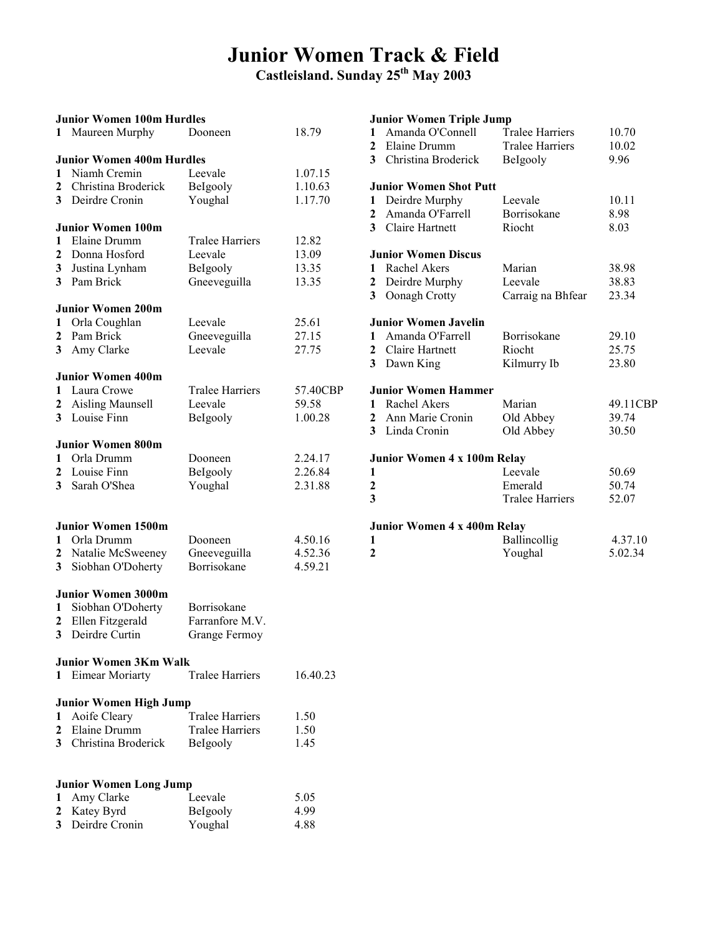### Junior Women Track & Field

Castleisland. Sunday 25th May 2003

49.11CBP

4.37.10 5.02.34

|                | <b>Junior Women 100m Hurdles</b> |                        |          | <b>Junior Women Triple Jump</b>  |                        |        |
|----------------|----------------------------------|------------------------|----------|----------------------------------|------------------------|--------|
|                | 1 Maureen Murphy                 | Dooneen                | 18.79    | Amanda O'Connell<br>1            | <b>Tralee Harriers</b> | 10.70  |
|                |                                  |                        |          | Elaine Drumm<br>2                | <b>Tralee Harriers</b> | 10.02  |
|                | <b>Junior Women 400m Hurdles</b> |                        |          | 3<br>Christina Broderick         | Belgooly               | 9.96   |
| 1              | Niamh Cremin                     | Leevale                | 1.07.15  |                                  |                        |        |
| 2              | Christina Broderick              | BeIgooly               | 1.10.63  | <b>Junior Women Shot Putt</b>    |                        |        |
| 3              | Deirdre Cronin                   | Youghal                | 1.17.70  | Deirdre Murphy<br>1              | Leevale                | 10.11  |
|                |                                  |                        |          | Amanda O'Farrell<br>$\mathbf{2}$ | Borrisokane            | 8.98   |
|                | <b>Junior Women 100m</b>         |                        |          | Claire Hartnett<br>3             | Riocht                 | 8.03   |
| 1              | Elaine Drumm                     | <b>Tralee Harriers</b> | 12.82    |                                  |                        |        |
| 2              | Donna Hosford                    | Leevale                | 13.09    | <b>Junior Women Discus</b>       |                        |        |
| 3              | Justina Lynham                   | BeIgooly               | 13.35    | Rachel Akers<br>$\mathbf{1}$     | Marian                 | 38.98  |
| 3              | Pam Brick                        | Gneeveguilla           | 13.35    | 2<br>Deirdre Murphy              | Leevale                | 38.83  |
|                |                                  |                        |          | 3<br>Oonagh Crotty               | Carraig na Bhfear      | 23.34  |
|                | <b>Junior Women 200m</b>         |                        |          |                                  |                        |        |
| 1              | Orla Coughlan                    | Leevale                | 25.61    | <b>Junior Women Javelin</b>      |                        |        |
| $\overline{2}$ | Pam Brick                        | Gneeveguilla           | 27.15    | Amanda O'Farrell<br>1            | Borrisokane            | 29.10  |
| 3 <sup>1</sup> | Amy Clarke                       | Leevale                | 27.75    | Claire Hartnett<br>2             | Riocht                 | 25.75  |
|                |                                  |                        |          | $\mathbf{3}$<br>Dawn King        | Kilmurry Ib            | 23.80  |
|                | <b>Junior Women 400m</b>         |                        |          |                                  |                        |        |
| 1              | Laura Crowe                      | <b>Tralee Harriers</b> | 57.40CBP | <b>Junior Women Hammer</b>       |                        |        |
| 2              | Aisling Maunsell                 | Leevale                | 59.58    | Rachel Akers<br>$\mathbf{1}$     | Marian                 | 49.11  |
|                | 3 Louise Finn                    | BeIgooly               | 1.00.28  | Ann Marie Cronin<br>2            | Old Abbey              | 39.74  |
|                |                                  |                        |          | 3 Linda Cronin                   | Old Abbey              | 30.50  |
|                | <b>Junior Women 800m</b>         |                        |          |                                  |                        |        |
| 1              | Orla Drumm                       | Dooneen                | 2.24.17  | Junior Women 4 x 100m Relay      |                        |        |
| $\mathbf{2}$   | Louise Finn                      | Belgooly               | 2.26.84  | 1                                | Leevale                | 50.69  |
| 3              | Sarah O'Shea                     | Youghal                | 2.31.88  | $\mathbf 2$                      | Emerald                | 50.74  |
|                |                                  |                        |          | 3                                | <b>Tralee Harriers</b> | 52.07  |
|                |                                  |                        |          |                                  |                        |        |
|                | <b>Junior Women 1500m</b>        |                        |          | Junior Women 4 x 400m Relay      |                        |        |
| 1              | Orla Drumm                       | Dooneen                | 4.50.16  | 1                                | Ballincollig           | 4.37.  |
|                | 2 Natalie McSweeney              | Gneeveguilla           | 4.52.36  | $\mathbf{2}$                     | Youghal                | 5.02.3 |
| 3              | Siobhan O'Doherty                | Borrisokane            | 4.59.21  |                                  |                        |        |
|                |                                  |                        |          |                                  |                        |        |
|                | <b>Junior Women 3000m</b>        |                        |          |                                  |                        |        |
| 1              | Siobhan O'Doherty                | Borrisokane            |          |                                  |                        |        |
| 2              | Ellen Fitzgerald                 | Farranfore M.V.        |          |                                  |                        |        |
| 3              | Deirdre Curtin                   | Grange Fermoy          |          |                                  |                        |        |
|                |                                  |                        |          |                                  |                        |        |
|                | <b>Junior Women 3Km Walk</b>     |                        |          |                                  |                        |        |
| 1              | <b>Eimear Moriarty</b>           | <b>Tralee Harriers</b> | 16.40.23 |                                  |                        |        |
|                |                                  |                        |          |                                  |                        |        |
|                | <b>Junior Women High Jump</b>    |                        |          |                                  |                        |        |
| 1              | Aoife Cleary                     | <b>Tralee Harriers</b> | 1.50     |                                  |                        |        |
| 2              | Elaine Drumm                     | <b>Tralee Harriers</b> | 1.50     |                                  |                        |        |
| 3              | Christina Broderick              | BeIgooly               | 1.45     |                                  |                        |        |
|                |                                  |                        |          |                                  |                        |        |
|                |                                  |                        |          |                                  |                        |        |
|                | <b>Junior Women Long Jump</b>    |                        |          |                                  |                        |        |
| 1              | Amy Clarke                       | Leevale                | 5.05     |                                  |                        |        |
| 2              | Katey Byrd                       | Belgooly               | 4.99     |                                  |                        |        |
|                |                                  |                        | 4.88     |                                  |                        |        |
| 3              | Deirdre Cronin                   | Youghal                |          |                                  |                        |        |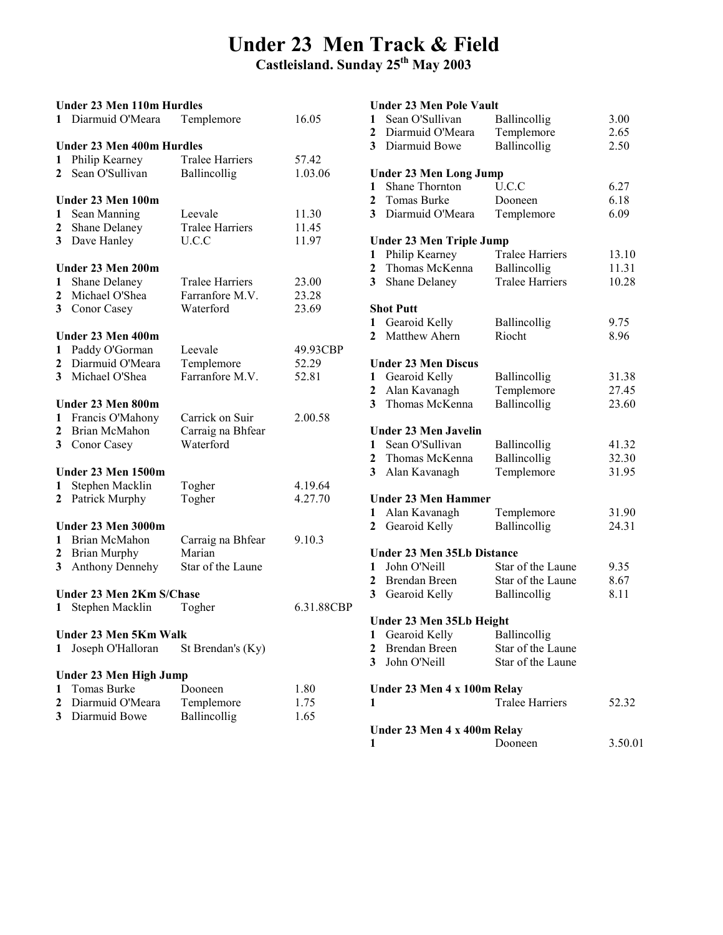### Under 23 Men Track & Field

Castleisland. Sunday 25th May 2003

### Under 23 Men 110m Hurdles 1 Diarmuid O'Meara Templemore 16.05 Under 23 Men 400m Hurdles 1 Philip Kearney Tralee Harriers 57.42 2 Sean O'Sullivan Ballincollig 1.03.06 Under 23 Men 100m 1 Sean Manning Leevale 11.30 2 Shane Delaney Tralee Harriers 11.45 3 Dave Hanley U.C.C 11.97 Under 23 Men 200m 1 Shane Delaney Tralee Harriers 23.00 2 Michael O'Shea Farranfore M.V. 23.28 3 Conor Casey Waterford 23.69 Under 23 Men 400m 1 Paddy O'Gorman Leevale 49.93CBP 2 Diarmuid O'Meara Templemore 52.29 3 Michael O'Shea Farranfore M.V. 52.81 Under 23 Men 800m 1 Francis O'Mahony Carrick on Suir 2.00.58 2 Brian McMahon Carraig na Bhfear 3 Conor Casey Waterford Under 23 Men 1500m 1 Stephen Macklin Togher 4.19.64 2 Patrick Murphy Togher 4.27.70 Under 23 Men 3000m 1 Brian McMahon Carraig na Bhfear 9.10.3<br>2 Brian Murphy Marian 2 Brian Murphy 3 Anthony Dennehy Star of the Laune Under 23 Men 2Km S/Chase 1 Stephen Macklin Togher 6.31.88CBP Under 23 Men 5Km Walk 1 Joseph O'Halloran St Brendan's (Ky) Under 23 Men High Jump 1 Tomas Burke Dooneen 1.80 2 Diarmuid O'Meara Templemore 1.75 3 Diarmuid Bowe Ballincollig 1.65

#### Under 23 Men Pole Vault 1 Sean O'Sullivan Ballincollig 3.00 2 Diarmuid O'Meara Templemore 2.65 3 Diarmuid Bowe Ballincollig 2.50 Under 23 Men Long Jump 1 Shane Thornton U.C.C 6.27 2 Tomas Burke Dooneen 6.18 3 Diarmuid O'Meara Templemore 6.09 Under 23 Men Triple Jump 1 Philip Kearney Tralee Harriers 13.10 2 Thomas McKenna Ballincollig 11.31 3 Shane Delaney Tralee Harriers 10.28 Shot Putt 1 Gearoid Kelly Ballincollig 9.75 2 Matthew Ahern Riocht 8.96 Under 23 Men Discus 1 Gearoid Kelly Ballincollig 31.38<br>2 Alan Kavanagh Templemore 27.45 2 Alan Kavanagh Templemore 27.45 3 Thomas McKenna Ballincollig 23.60 Under 23 Men Javelin 1 Sean O'Sullivan Ballincollig 41.32 2 Thomas McKenna Ballincollig 32.30 3 Alan Kavanagh Templemore 31.95 Under 23 Men Hammer 1 Alan Kavanagh Templemore 31.90 2 Gearoid Kelly Ballincollig 24.31 Under 23 Men 35Lb Distance 1 John O'Neill Star of the Laune 9.35 2 Brendan Breen Star of the Laune 8.67 3 Gearoid Kelly Ballincollig 8.11 Under 23 Men 35Lb Height 1 Gearoid Kelly Ballincollig 2 Brendan Breen Star of the Laune 3 John O'Neill Star of the Laune Under 23 Men 4 x 100m Relay 1 Tralee Harriers 52.32 Under 23 Men 4 x 400m Relay 1 Dooneen 3.50.01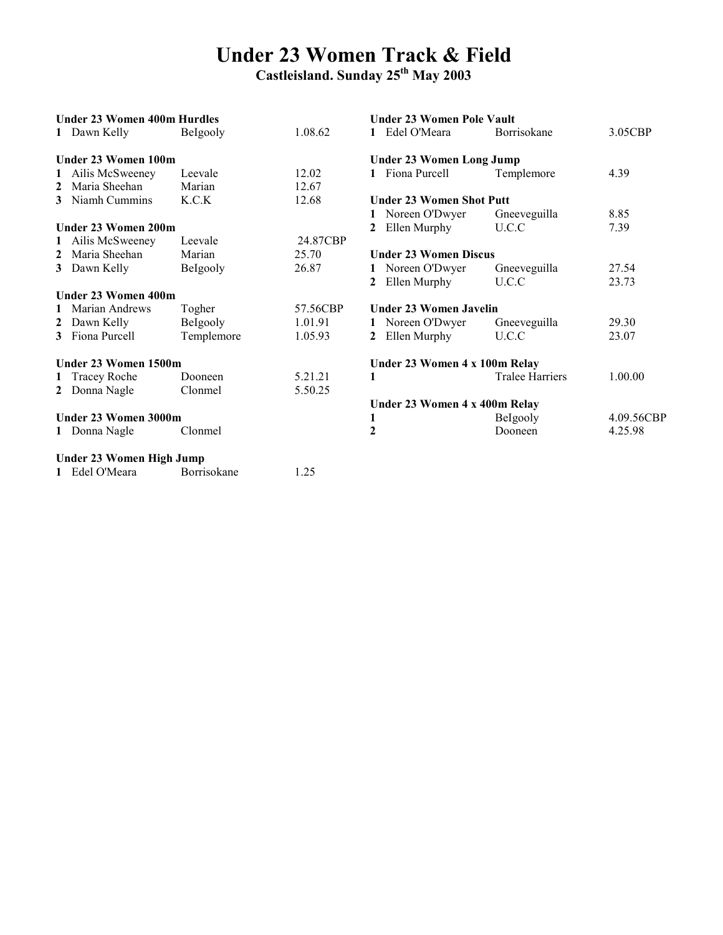### Under 23 Women Track & Field

|              | <b>Under 23 Women 400m Hurdles</b> |            |          | Under 23 Women Pole Vault       |                        |            |  |
|--------------|------------------------------------|------------|----------|---------------------------------|------------------------|------------|--|
|              | 1 Dawn Kelly                       | Belgooly   | 1.08.62  | Edel O'Meara                    | <b>Borrisokane</b>     | 3.05CBP    |  |
|              | Under 23 Women 100m                |            |          | <b>Under 23 Women Long Jump</b> |                        |            |  |
|              | 1 Ailis McSweeney                  | Leevale    | 12.02    | 1 Fiona Purcell                 | Templemore             | 4.39       |  |
| $\mathbf{2}$ | Maria Sheehan                      | Marian     | 12.67    |                                 |                        |            |  |
|              | 3 Niamh Cummins                    | K.C.K      | 12.68    | <b>Under 23 Women Shot Putt</b> |                        |            |  |
|              |                                    |            |          | Noreen O'Dwyer                  | Gneeveguilla           | 8.85       |  |
|              | Under 23 Women 200m                |            |          | Ellen Murphy                    | U.C.C                  | 7.39       |  |
|              | 1 Ailis McSweeney                  | Leevale    | 24.87CBP |                                 |                        |            |  |
| $\mathbf{2}$ | Maria Sheehan                      | Marian     | 25.70    | <b>Under 23 Women Discus</b>    |                        |            |  |
|              | 3 Dawn Kelly                       | BeIgooly   | 26.87    | Noreen O'Dwyer                  | Gneeveguilla           | 27.54      |  |
|              |                                    |            |          | Ellen Murphy                    | U.C.C                  | 23.73      |  |
|              | Under 23 Women 400m                |            |          |                                 |                        |            |  |
|              | 1 Marian Andrews                   | Togher     | 57.56CBP | <b>Under 23 Women Javelin</b>   |                        |            |  |
| 2            | Dawn Kelly                         | Belgooly   | 1.01.91  | Noreen O'Dwyer                  | Gneeveguilla           | 29.30      |  |
|              | 3 Fiona Purcell                    | Templemore | 1.05.93  | Ellen Murphy<br>$2^{\circ}$     | U.C.C                  | 23.07      |  |
|              | Under 23 Women 1500m               |            |          | Under 23 Women 4 x 100m Relay   |                        |            |  |
|              | 1 Tracey Roche                     | Dooneen    | 5.21.21  | 1                               | <b>Tralee Harriers</b> | 1.00.00    |  |
|              | 2 Donna Nagle                      | Clonmel    | 5.50.25  |                                 |                        |            |  |
|              |                                    |            |          | Under 23 Women 4 x 400m Relay   |                        |            |  |
|              | Under 23 Women 3000m               |            |          | 1                               | Belgooly               | 4.09.56CBP |  |
|              | 1 Donna Nagle                      | Clonmel    |          | $\mathbf{2}$                    | Dooneen                | 4.25.98    |  |
|              | Under 23 Women High Jump           |            |          |                                 |                        |            |  |

| 1 Edel O'Meara | <b>Borrisokane</b> | 1.25 |
|----------------|--------------------|------|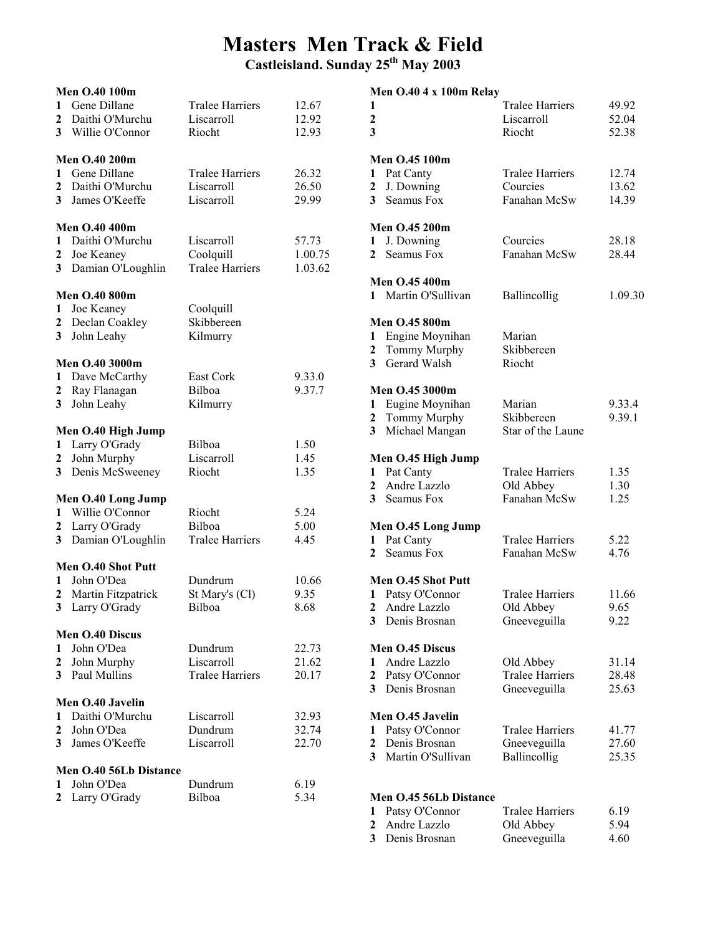# Masters Men Track & Field

|              | Men O.40 100m          |                          |         | Men $0.404$ x 100m Relay                            |               |
|--------------|------------------------|--------------------------|---------|-----------------------------------------------------|---------------|
|              | 1 Gene Dillane         | <b>Tralee Harriers</b>   | 12.67   | <b>Tralee Harriers</b><br>1                         | 49.92         |
|              | 2 Daithi O'Murchu      | Liscarroll               | 12.92   | $\boldsymbol{2}$<br>Liscarroll                      | 52.04         |
|              | 3 Willie O'Connor      | Riocht                   | 12.93   | 3<br>Riocht                                         | 52.38         |
|              | <b>Men O.40 200m</b>   |                          |         | <b>Men O.45 100m</b>                                |               |
| 1            | Gene Dillane           | <b>Tralee Harriers</b>   | 26.32   | <b>Tralee Harriers</b><br>Pat Canty<br>$\mathbf{1}$ | 12.74         |
| 2            | Daithi O'Murchu        | Liscarroll               | 26.50   | J. Downing<br>Courcies<br>2                         | 13.62         |
| 3            | James O'Keeffe         | Liscarroll               | 29.99   | Seamus Fox<br>Fanahan McSw<br>3                     | 14.39         |
|              | <b>Men O.40 400m</b>   |                          |         | Men O.45 200m                                       |               |
|              | 1 Daithi O'Murchu      | Liscarroll               | 57.73   | J. Downing<br>Courcies<br>1                         | 28.18         |
| 2            | Joe Keaney             | Coolquill                | 1.00.75 | Seamus Fox<br>Fanahan McSw<br>$\mathbf{2}$          | 28.44         |
|              | 3 Damian O'Loughlin    | <b>Tralee Harriers</b>   | 1.03.62 |                                                     |               |
|              |                        |                          |         | <b>Men O.45 400m</b>                                |               |
|              | Men O.40 800m          |                          |         | 1 Martin O'Sullivan<br>Ballincollig                 | 1.09.30       |
| $\mathbf{1}$ | Joe Keaney             | Coolquill                |         |                                                     |               |
| 2            | Declan Coakley         | Skibbereen               |         | <b>Men O.45 800m</b>                                |               |
| 3            | John Leahy             | Kilmurry                 |         | Engine Moynihan<br>Marian<br>1                      |               |
|              |                        |                          |         | Skibbereen<br>2<br>Tommy Murphy                     |               |
|              | <b>Men O.40 3000m</b>  |                          |         | 3<br>Gerard Walsh<br>Riocht                         |               |
|              | 1 Dave McCarthy        | East Cork                | 9.33.0  |                                                     |               |
| 2            | Ray Flanagan           | Bilboa                   | 9.37.7  | <b>Men O.45 3000m</b>                               |               |
| 3            | John Leahy             | Kilmurry                 |         | Eugine Moynihan<br>Marian<br>1                      | 9.33.4        |
|              |                        |                          |         | Tommy Murphy<br>Skibbereen<br>2                     | 9.39.1        |
|              | Men O.40 High Jump     |                          |         | 3<br>Michael Mangan<br>Star of the Laune            |               |
|              | 1 Larry O'Grady        | Bilboa                   | 1.50    |                                                     |               |
| $\mathbf{2}$ | John Murphy            | Liscarroll               | 1.45    | Men O.45 High Jump                                  |               |
|              | 3 Denis McSweeney      | Riocht                   | 1.35    | Pat Canty<br><b>Tralee Harriers</b><br>1            | 1.35          |
|              |                        |                          |         | Andre Lazzlo<br>2<br>Old Abbey                      | 1.30          |
|              | Men O.40 Long Jump     |                          |         | Seamus Fox<br>Fanahan McSw<br>3                     | 1.25          |
| 1            | Willie O'Connor        | Riocht                   | 5.24    |                                                     |               |
|              | 2 Larry O'Grady        | Bilboa                   | 5.00    | Men O.45 Long Jump                                  |               |
|              | 3 Damian O'Loughlin    | <b>Tralee Harriers</b>   | 4.45    | <b>Tralee Harriers</b><br>1 Pat Canty               | 5.22          |
|              | Men O.40 Shot Putt     |                          |         | Seamus Fox<br>Fanahan McSw<br>$\mathbf{2}$          | 4.76          |
|              | John O'Dea             | Dundrum                  | 10.66   | Men O.45 Shot Putt                                  |               |
| 1            |                        |                          | 9.35    | <b>Tralee Harriers</b>                              |               |
| 2<br>3       | Martin Fitzpatrick     | St Mary's (Cl)<br>Bilboa | 8.68    | Patsy O'Connor<br>1<br>2 Andre Lazzlo               | 11.66<br>9.65 |
|              | Larry O'Grady          |                          |         | Old Abbey<br>3<br>Denis Brosnan<br>Gneeveguilla     | 9.22          |
|              | Men O.40 Discus        |                          |         |                                                     |               |
| 1            | John O'Dea             | Dundrum                  | 22.73   | Men O.45 Discus                                     |               |
| 2            | John Murphy            | Liscarroll               | 21.62   | Andre Lazzlo<br>Old Abbey<br>1                      | 31.14         |
|              | 3 Paul Mullins         | <b>Tralee Harriers</b>   | 20.17   | <b>Tralee Harriers</b><br>Patsy O'Connor<br>2       | 28.48         |
|              |                        |                          |         | Denis Brosnan<br>Gneeveguilla<br>3                  | 25.63         |
|              | Men O.40 Javelin       |                          |         |                                                     |               |
| 1            | Daithi O'Murchu        | Liscarroll               | 32.93   | Men O.45 Javelin                                    |               |
| 2            | John O'Dea             | Dundrum                  | 32.74   | Patsy O'Connor<br><b>Tralee Harriers</b><br>1       | 41.77         |
| 3            | James O'Keeffe         | Liscarroll               | 22.70   | Denis Brosnan<br>Gneeveguilla<br>2                  | 27.60         |
|              |                        |                          |         | Martin O'Sullivan<br>Ballincollig<br>3              | 25.35         |
|              | Men O.40 56Lb Distance |                          |         |                                                     |               |
| 1            | John O'Dea             | Dundrum                  | 6.19    |                                                     |               |
| 2            | Larry O'Grady          | Bilboa                   | 5.34    | Men O.45 56Lb Distance                              |               |
|              |                        |                          |         | <b>Tralee Harriers</b><br>1 Patsy O'Connor          | 6.19          |

| 1 Patsy O'Connor | <b>Tralee Harriers</b> | 6.19 |
|------------------|------------------------|------|
| 2 Andre Lazzlo   | Old Abbey              | 5.94 |
| 3 Denis Brosnan  | Gneeveguilla           | 4.60 |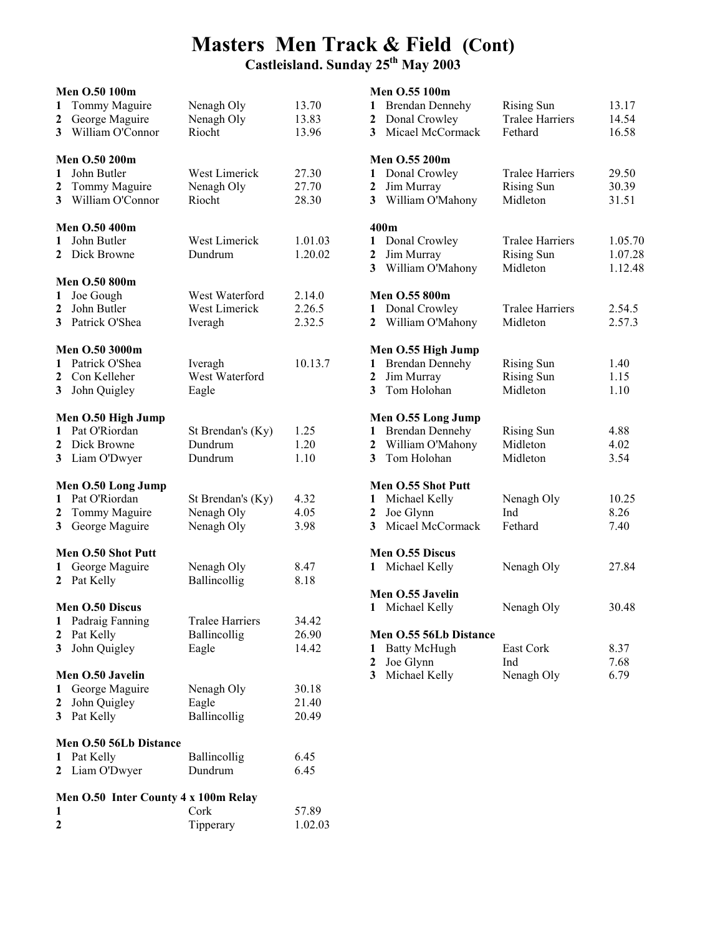### Masters Men Track & Field (Cont)

|                   | Men O.50 100m                                         |                                    |                         |                  | Men O.55 100m                                               |                                                        |                         |
|-------------------|-------------------------------------------------------|------------------------------------|-------------------------|------------------|-------------------------------------------------------------|--------------------------------------------------------|-------------------------|
| 1<br>$\mathbf{2}$ | Tommy Maguire<br>George Maguire<br>3 William O'Connor | Nenagh Oly<br>Nenagh Oly<br>Riocht | 13.70<br>13.83<br>13.96 | 1<br>2<br>3      | <b>Brendan Dennehy</b><br>Donal Crowley<br>Micael McCormack | <b>Rising Sun</b><br><b>Tralee Harriers</b><br>Fethard | 13.17<br>14.54<br>16.58 |
|                   | Men O.50 200m                                         |                                    |                         |                  | Men O.55 200m                                               |                                                        |                         |
| $\mathbf{1}$      | John Butler                                           | West Limerick                      | 27.30                   | 1                | Donal Crowley                                               | <b>Tralee Harriers</b>                                 | 29.50                   |
| 2                 | Tommy Maguire                                         | Nenagh Oly                         | 27.70                   | $\boldsymbol{2}$ | Jim Murray                                                  | <b>Rising Sun</b>                                      | 30.39                   |
|                   | 3 William O'Connor                                    | Riocht                             | 28.30                   | 3                | William O'Mahony                                            | Midleton                                               | 31.51                   |
|                   | Men O.50 400m                                         |                                    |                         |                  | 400m                                                        |                                                        |                         |
| 1                 | John Butler                                           | West Limerick                      | 1.01.03                 | 1                | Donal Crowley                                               | <b>Tralee Harriers</b>                                 | 1.05.70                 |
|                   | 2 Dick Browne                                         | Dundrum                            | 1.20.02                 | 2                | Jim Murray                                                  | <b>Rising Sun</b>                                      | 1.07.28                 |
|                   | <b>Men O.50 800m</b>                                  |                                    |                         | 3                | William O'Mahony                                            | Midleton                                               | 1.12.48                 |
| 1                 | Joe Gough                                             | West Waterford                     | 2.14.0                  |                  | Men O.55 800m                                               |                                                        |                         |
| 2                 | John Butler                                           | West Limerick                      | 2.26.5                  |                  | 1 Donal Crowley                                             | <b>Tralee Harriers</b>                                 | 2.54.5                  |
|                   | 3 Patrick O'Shea                                      | Iveragh                            | 2.32.5                  |                  | 2 William O'Mahony                                          | Midleton                                               | 2.57.3                  |
|                   | Men O.50 3000m                                        |                                    |                         |                  | Men O.55 High Jump                                          |                                                        |                         |
|                   | 1 Patrick O'Shea                                      | Iveragh                            | 10.13.7                 | 1                | <b>Brendan Dennehy</b>                                      | <b>Rising Sun</b>                                      | 1.40                    |
| 2                 | Con Kelleher                                          | West Waterford                     |                         | 2                | Jim Murray                                                  | <b>Rising Sun</b>                                      | 1.15                    |
| 3                 | John Quigley                                          | Eagle                              |                         | 3                | Tom Holohan                                                 | Midleton                                               | 1.10                    |
|                   | Men O.50 High Jump                                    |                                    |                         |                  | Men O.55 Long Jump                                          |                                                        |                         |
|                   | 1 Pat O'Riordan                                       | St Brendan's (Ky)                  | 1.25                    |                  | 1 Brendan Dennehy                                           | <b>Rising Sun</b>                                      | 4.88                    |
| 2                 | Dick Browne                                           | Dundrum                            | 1.20                    | 2                | William O'Mahony                                            | Midleton                                               | 4.02                    |
|                   | 3 Liam O'Dwyer                                        | Dundrum                            | 1.10                    | 3                | Tom Holohan                                                 | Midleton                                               | 3.54                    |
|                   | Men O.50 Long Jump                                    |                                    |                         |                  | Men O.55 Shot Putt                                          |                                                        |                         |
|                   | 1 Pat O'Riordan                                       | St Brendan's (Ky)                  | 4.32                    | 1                | Michael Kelly                                               | Nenagh Oly                                             | 10.25                   |
| 2                 | Tommy Maguire                                         | Nenagh Oly                         | 4.05                    | 2                | Joe Glynn                                                   | Ind                                                    | 8.26                    |
| 3 <sup>7</sup>    | George Maguire                                        | Nenagh Oly                         | 3.98                    | 3                | Micael McCormack                                            | Fethard                                                | 7.40                    |
|                   | Men O.50 Shot Putt                                    |                                    |                         |                  | Men O.55 Discus                                             |                                                        |                         |
| 1                 | George Maguire                                        | Nenagh Oly                         | 8.47                    |                  | 1 Michael Kelly                                             | Nenagh Oly                                             | 27.84                   |
|                   | 2 Pat Kelly                                           | Ballincollig                       | 8.18                    |                  |                                                             |                                                        |                         |
|                   |                                                       |                                    |                         |                  | Men O.55 Javelin                                            |                                                        |                         |
| 1                 | Men O.50 Discus<br>Padraig Fanning                    | <b>Tralee Harriers</b>             | 34.42                   |                  | 1 Michael Kelly                                             | Nenagh Oly                                             | 30.48                   |
| $\mathbf{2}$      | Pat Kelly                                             | Ballincollig                       | 26.90                   |                  | Men O.55 56Lb Distance                                      |                                                        |                         |
| 3                 | John Quigley                                          | Eagle                              | 14.42                   | 1                | <b>Batty McHugh</b>                                         | East Cork                                              | 8.37                    |
|                   |                                                       |                                    |                         | $\boldsymbol{2}$ | Joe Glynn                                                   | Ind                                                    | 7.68                    |
|                   | Men O.50 Javelin                                      |                                    |                         | 3                | Michael Kelly                                               | Nenagh Oly                                             | 6.79                    |
| 1                 | George Maguire                                        | Nenagh Oly                         | 30.18                   |                  |                                                             |                                                        |                         |
| 2                 | John Quigley                                          | Eagle                              | 21.40                   |                  |                                                             |                                                        |                         |
|                   | 3 Pat Kelly                                           | Ballincollig                       | 20.49                   |                  |                                                             |                                                        |                         |
|                   | Men O.50 56Lb Distance                                |                                    |                         |                  |                                                             |                                                        |                         |
|                   | 1 Pat Kelly                                           | Ballincollig                       | 6.45                    |                  |                                                             |                                                        |                         |
|                   | 2 Liam O'Dwyer                                        | Dundrum                            | 6.45                    |                  |                                                             |                                                        |                         |
|                   | Men O.50 Inter County 4 x 100m Relay                  |                                    |                         |                  |                                                             |                                                        |                         |
| 1                 |                                                       | Cork                               | 57.89                   |                  |                                                             |                                                        |                         |
| 2                 |                                                       | Tipperary                          | 1.02.03                 |                  |                                                             |                                                        |                         |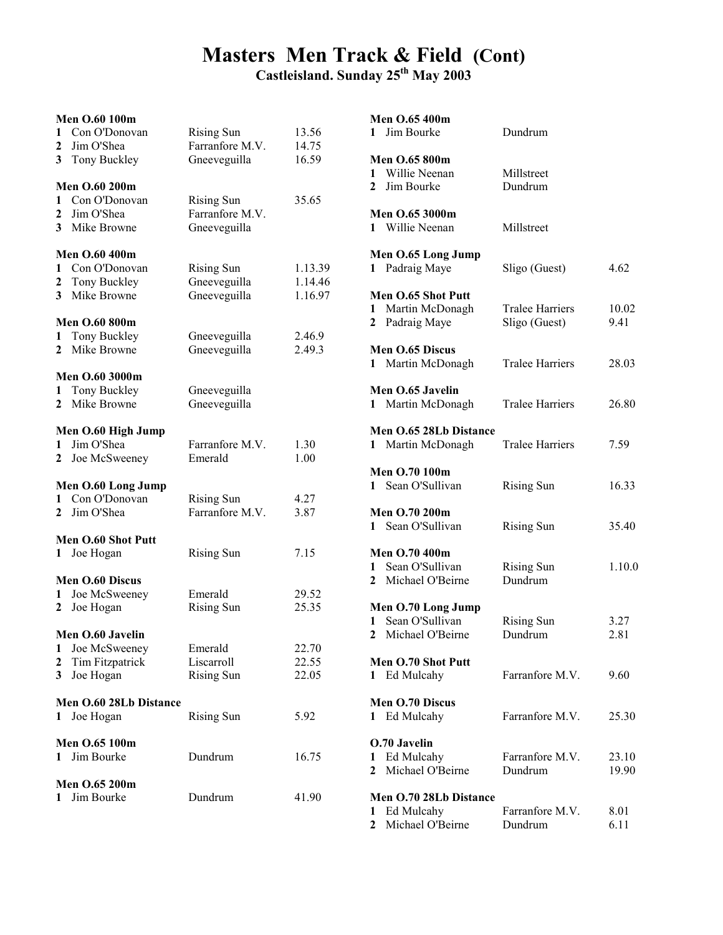### Masters Men Track & Field (Cont)

|                | <b>Men O.60 100m</b>       |                   |         |  |  |  |  |
|----------------|----------------------------|-------------------|---------|--|--|--|--|
| 1              | Con O'Donovan              | <b>Rising Sun</b> | 13.56   |  |  |  |  |
| 2              | Jim O'Shea                 | Farranfore M.V.   | 14.75   |  |  |  |  |
| 3              | Tony Buckley               | Gneeveguilla      | 16.59   |  |  |  |  |
|                | <b>Men O.60 200m</b>       |                   |         |  |  |  |  |
| $\mathbf{1}$   | Con O'Donovan              | <b>Rising Sun</b> | 35.65   |  |  |  |  |
|                | 2 Jim O'Shea               | Farranfore M.V.   |         |  |  |  |  |
|                | 3 Mike Browne              | Gneeveguilla      |         |  |  |  |  |
|                |                            |                   |         |  |  |  |  |
|                | <b>Men O.60 400m</b>       |                   |         |  |  |  |  |
| 1              | Con O'Donovan              | <b>Rising Sun</b> | 1.13.39 |  |  |  |  |
|                | 2 Tony Buckley             | Gneeveguilla      | 1.14.46 |  |  |  |  |
| 3 <sup>1</sup> | Mike Browne                | Gneeveguilla      | 1.16.97 |  |  |  |  |
|                | <b>Men O.60 800m</b>       |                   |         |  |  |  |  |
| 1              | Tony Buckley               | Gneeveguilla      | 2.46.9  |  |  |  |  |
| $\overline{2}$ | Mike Browne                | Gneeveguilla      | 2.49.3  |  |  |  |  |
|                | <b>Men O.60 3000m</b>      |                   |         |  |  |  |  |
| 1              | Tony Buckley               | Gneeveguilla      |         |  |  |  |  |
| $\mathbf{2}$   | Mike Browne                | Gneeveguilla      |         |  |  |  |  |
|                |                            |                   |         |  |  |  |  |
|                | Men O.60 High Jump         |                   |         |  |  |  |  |
| 1              | Jim O'Shea                 | Farranfore M.V.   | 1.30    |  |  |  |  |
| $\mathbf{2}$   | Joe McSweeney              | Emerald           | 1.00    |  |  |  |  |
|                | Men O.60 Long Jump         |                   |         |  |  |  |  |
| 1              | Con O'Donovan              | <b>Rising Sun</b> | 4.27    |  |  |  |  |
| $\mathbf{2}$   | Jim O'Shea                 | Farranfore M.V.   | 3.87    |  |  |  |  |
|                | Men O.60 Shot Putt         |                   |         |  |  |  |  |
| $\mathbf{1}$   | Joe Hogan                  | <b>Rising Sun</b> | 7.15    |  |  |  |  |
|                |                            |                   |         |  |  |  |  |
| 1              | Men O.60 Discus            | Emerald           | 29.52   |  |  |  |  |
| 2              | Joe McSweeney<br>Joe Hogan | <b>Rising Sun</b> | 25.35   |  |  |  |  |
|                |                            |                   |         |  |  |  |  |
|                | Men O.60 Javelin           |                   |         |  |  |  |  |
| 1              | Joe McSweeney              | Emerald           | 22.70   |  |  |  |  |
| $\overline{2}$ | Tim Fitzpatrick            | Liscarroll        | 22.55   |  |  |  |  |
| 3              | Joe Hogan                  | <b>Rising Sun</b> | 22.05   |  |  |  |  |
|                | Men O.60 28Lb Distance     |                   |         |  |  |  |  |
| 1              | Joe Hogan                  | <b>Rising Sun</b> | 5.92    |  |  |  |  |
|                | Men O.65 100m              |                   |         |  |  |  |  |
| 1              | Jim Bourke                 | Dundrum           | 16.75   |  |  |  |  |
|                |                            |                   |         |  |  |  |  |
|                | Men O.65 200m              |                   |         |  |  |  |  |
| 1              | Jim Bourke                 | Dundrum           | 41.90   |  |  |  |  |
|                |                            |                   |         |  |  |  |  |

|              | Men O.65 400m                         |                        |        |
|--------------|---------------------------------------|------------------------|--------|
| 1            | Jim Bourke                            | Dundrum                |        |
|              |                                       |                        |        |
|              | <b>Men O.65 800m</b>                  |                        |        |
| 1            | Willie Neenan                         | Millstreet             |        |
| $\mathbf{2}$ | Jim Bourke                            | Dundrum                |        |
|              | <b>Men O.65 3000m</b>                 |                        |        |
|              | 1 Willie Neenan                       | Millstreet             |        |
|              |                                       |                        |        |
|              | Men O.65 Long Jump                    |                        |        |
| $\mathbf{1}$ | Padraig Maye                          | Sligo (Guest)          | 4.62   |
|              |                                       |                        |        |
|              | Men O.65 Shot Putt                    |                        |        |
| 1            | Martin McDonagh                       | <b>Tralee Harriers</b> | 10.02  |
| $\mathbf{2}$ | Padraig Maye                          | Sligo (Guest)          | 9.41   |
|              | Men O.65 Discus                       |                        |        |
| 1            | Martin McDonagh                       | <b>Tralee Harriers</b> | 28.03  |
|              |                                       |                        |        |
|              | Men O.65 Javelin                      |                        |        |
|              | 1 Martin McDonagh                     | <b>Tralee Harriers</b> | 26.80  |
|              |                                       |                        |        |
|              | Men O.65 28Lb Distance                |                        |        |
|              | 1 Martin McDonagh                     | <b>Tralee Harriers</b> | 7.59   |
|              |                                       |                        |        |
| 1            | Men O.70 100m<br>Sean O'Sullivan      |                        | 16.33  |
|              |                                       | <b>Rising Sun</b>      |        |
|              | <b>Men O.70 200m</b>                  |                        |        |
| 1            | Sean O'Sullivan                       | <b>Rising Sun</b>      | 35.40  |
|              |                                       |                        |        |
|              | <b>Men O.70 400m</b>                  |                        |        |
| $\mathbf{1}$ | Sean O'Sullivan                       | <b>Rising Sun</b>      | 1.10.0 |
|              | 2 Michael O'Beirne                    | Dundrum                |        |
|              |                                       |                        |        |
| $\mathbf{1}$ | Men O.70 Long Jump<br>Sean O'Sullivan | <b>Rising Sun</b>      | 3.27   |
| $\mathbf{2}$ | Michael O'Beirne                      | Dundrum                | 2.81   |
|              |                                       |                        |        |
|              | Men O.70 Shot Putt                    |                        |        |
| 1            | Ed Mulcahy                            | Farranfore M V         | 9.60   |
|              |                                       |                        |        |
|              | <b>Men O.70 Discus</b>                |                        |        |
| 1            | Ed Mulcahy                            | Farranfore M.V.        | 25.30  |
|              | O.70 Javelin                          |                        |        |
| 1            | Ed Mulcahy                            | Farranfore M.V.        | 23.10  |
| 2            | Michael O'Beirne                      | Dundrum                | 19.90  |
|              |                                       |                        |        |
|              | <b>Men O.70 28Lb Distance</b>         |                        |        |
| 1            | Ed Mulcahy                            | Farranfore M.V.        | 8.01   |
| 2            | Michael O'Beirne                      | Dundrum                | 6.11   |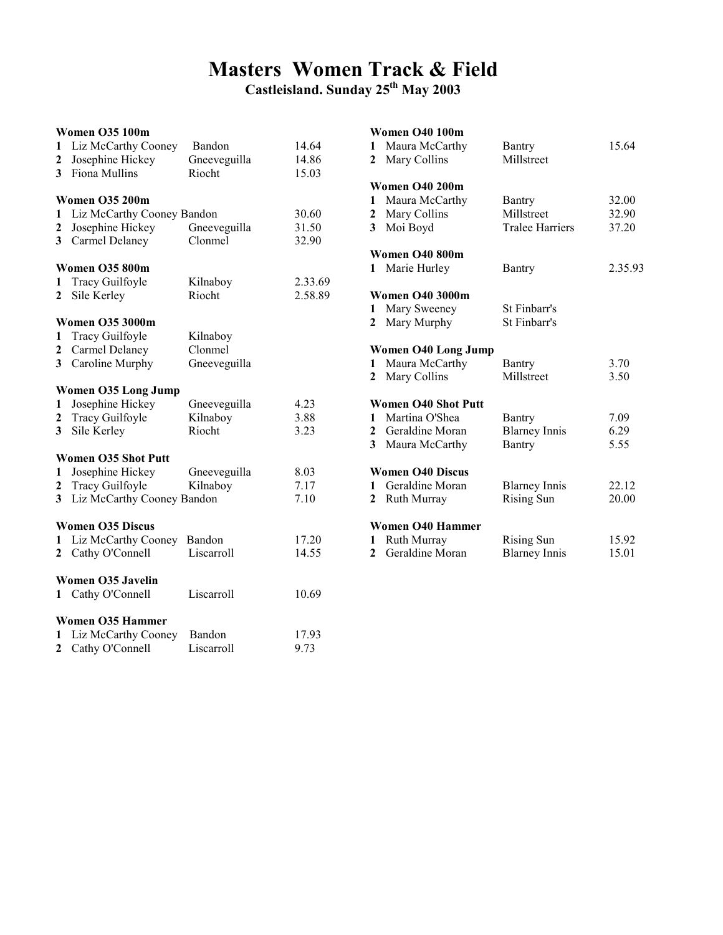## Masters Women Track & Field

Castleisland. Sunday 25th May 2003

#### Women O35 100m

| 1<br>$\mathbf{2}$<br>$\overline{\mathbf{3}}$ | Liz McCarthy Cooney<br>Josephine Hickey<br>Fiona Mullins | Bandon<br>Gneeveguilla<br>Riocht | 14.64<br>14.86<br>15.03 |  |  |  |  |
|----------------------------------------------|----------------------------------------------------------|----------------------------------|-------------------------|--|--|--|--|
|                                              | <b>Women O35 200m</b>                                    |                                  |                         |  |  |  |  |
| 1                                            | Liz McCarthy Cooney Bandon<br>30.60                      |                                  |                         |  |  |  |  |
| $\mathbf{2}$                                 | Josephine Hickey                                         | Gneeveguilla                     | 31.50                   |  |  |  |  |
| 3                                            | Carmel Delaney                                           | Clonmel                          | 32.90                   |  |  |  |  |
|                                              | <b>Women O35 800m</b>                                    |                                  |                         |  |  |  |  |
| 1                                            | Tracy Guilfoyle                                          | Kilnaboy                         | 2.33.69                 |  |  |  |  |
| $\mathbf{2}$                                 | Sile Kerley                                              | Riocht                           | 2.58.89                 |  |  |  |  |
|                                              | <b>Women O35 3000m</b>                                   |                                  |                         |  |  |  |  |
| 1                                            | Tracy Guilfoyle                                          | Kilnaboy                         |                         |  |  |  |  |
| $\mathbf{2}$                                 | Carmel Delaney                                           | Clonmel                          |                         |  |  |  |  |
| $\overline{\mathbf{3}}$                      | Caroline Murphy                                          | Gneeveguilla                     |                         |  |  |  |  |
|                                              |                                                          |                                  |                         |  |  |  |  |
|                                              | <b>Women O35 Long Jump</b>                               |                                  |                         |  |  |  |  |
| 1                                            | Josephine Hickey                                         | Gneeveguilla                     | 4.23                    |  |  |  |  |
| $\overline{2}$                               | Tracy Guilfoyle                                          | Kilnaboy                         | 3.88                    |  |  |  |  |
| $\overline{\mathbf{3}}$                      | Sile Kerley                                              | Riocht                           | 3.23                    |  |  |  |  |
|                                              | <b>Women O35 Shot Putt</b>                               |                                  |                         |  |  |  |  |
| 1                                            | Josephine Hickey                                         | Gneeveguilla                     | 8.03                    |  |  |  |  |
| $\mathbf{2}$                                 | Tracy Guilfoyle                                          | Kilnaboy                         | 7.17                    |  |  |  |  |
| $\overline{\mathbf{3}}$                      | Liz McCarthy Cooney Bandon                               |                                  | 7.10                    |  |  |  |  |
|                                              | <b>Women O35 Discus</b>                                  |                                  |                         |  |  |  |  |
| 1                                            | Liz McCarthy Cooney                                      | Bandon                           | 17.20                   |  |  |  |  |
| $\mathbf{2}$                                 | Cathy O'Connell                                          | Liscarroll                       | 14.55                   |  |  |  |  |
|                                              |                                                          |                                  |                         |  |  |  |  |
|                                              | <b>Women O35 Javelin</b>                                 |                                  |                         |  |  |  |  |
|                                              | 1 Cathy O'Connell                                        | Liscarroll                       | 10.69                   |  |  |  |  |
|                                              |                                                          |                                  |                         |  |  |  |  |
|                                              | <b>Women O35 Hammer</b>                                  |                                  |                         |  |  |  |  |
| 1                                            | Liz McCarthy Cooney                                      | Bandon                           | 17.93                   |  |  |  |  |
| $\mathbf{2}$                                 | Cathy O'Connell                                          | Liscarroll                       | 9.73                    |  |  |  |  |

| 1<br>2                         | <b>Women O40 100m</b><br>Maura McCarthy<br>Mary Collins                             | Bantry<br>Millstreet                                  | 15.64                   |
|--------------------------------|-------------------------------------------------------------------------------------|-------------------------------------------------------|-------------------------|
| $\mathbf{1}$<br>3 <sup>1</sup> | <b>Women 040 200m</b><br>Maura McCarthy<br>2 Mary Collins<br>Moi Boyd               | <b>Bantry</b><br>Millstreet<br><b>Tralee Harriers</b> | 32.00<br>32.90<br>37.20 |
| 1.                             | Women O40 800m<br>Marie Hurley                                                      | Bantry                                                | 2.35.93                 |
| $\mathbf{1}$<br>$\mathbf{2}$   | <b>Women O40 3000m</b><br>Mary Sweeney<br>Mary Murphy                               | St Finbarr's<br>St Finbarr's                          |                         |
| $\mathbf{1}$<br>$\mathbf{2}$   | Women O40 Long Jump<br>Maura McCarthy<br>Mary Collins                               | Bantry<br>Millstreet                                  | 3.70<br>3.50            |
| $\mathbf{2}$<br>3 <sup>1</sup> | <b>Women O40 Shot Putt</b><br>1 Martina O'Shea<br>Geraldine Moran<br>Maura McCarthy | Bantry<br><b>Blarney Innis</b><br>Bantry              | 7.09<br>6.29<br>5.55    |
| 1.<br>$\mathbf{2}$             | <b>Women O40 Discus</b><br>Geraldine Moran<br>Ruth Murray                           | <b>Blarney Innis</b><br><b>Rising Sun</b>             | 22.12<br>20.00          |
| 1<br>$\mathbf{2}$              | <b>Women O40 Hammer</b><br>Ruth Murray<br>Geraldine Moran                           | <b>Rising Sun</b><br><b>Blarney Innis</b>             | 15.92<br>15.01          |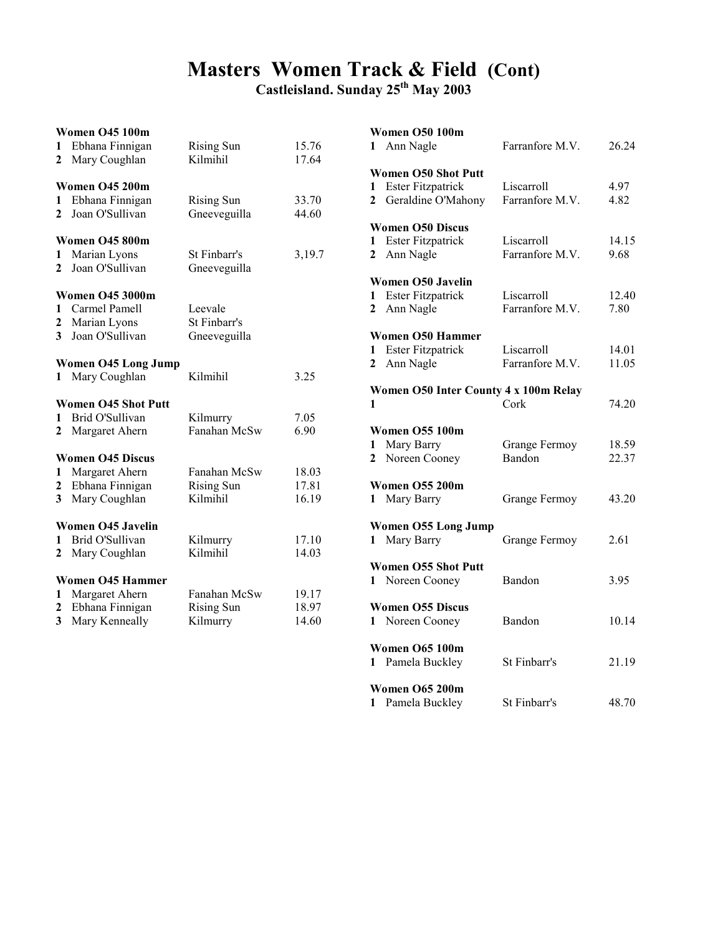### Masters Women Track & Field (Cont)

Castleisland. Sunday 25<sup>th</sup> May 2003

#### Women O45 100m

| 1                       | Ebhana Finnigan            | <b>Rising Sun</b> | 15.76  |
|-------------------------|----------------------------|-------------------|--------|
| 2                       | Mary Coughlan              | Kilmihil          | 17.64  |
|                         |                            |                   |        |
|                         | Women O45 200m             |                   |        |
| 1                       | Ebhana Finnigan            | <b>Rising Sun</b> | 33.70  |
| $\mathbf{2}$            | Joan O'Sullivan            | Gneeveguilla      | 44.60  |
|                         | Women O45 800m             |                   |        |
| 1                       | Marian Lyons               | St Finbarr's      | 3,19.7 |
| $\mathbf{2}$            | Joan O'Sullivan            | Gneeveguilla      |        |
|                         |                            |                   |        |
|                         | <b>Women O45 3000m</b>     |                   |        |
| $\mathbf{1}$            | Carmel Pamell              | Leevale           |        |
| $\mathbf{2}$            | Marian Lyons               | St Finbarr's      |        |
| $\overline{\mathbf{3}}$ | Joan O'Sullivan            | Gneeveguilla      |        |
|                         |                            |                   |        |
|                         | <b>Women O45 Long Jump</b> |                   |        |
| 1                       | Mary Coughlan              | Kilmihil          | 3.25   |
|                         |                            |                   |        |
|                         | <b>Women O45 Shot Putt</b> |                   |        |
| 1                       | Brid O'Sullivan            | Kilmurry          | 7.05   |
| 2                       | Margaret Ahern             | Fanahan McSw      | 6.90   |
|                         | <b>Women O45 Discus</b>    |                   |        |
| 1                       | Margaret Ahern             | Fanahan McSw      | 18.03  |
| $\mathbf{2}$            | Ebhana Finnigan            | <b>Rising Sun</b> | 17.81  |
| 3                       | Mary Coughlan              | Kilmihil          | 16.19  |
|                         |                            |                   |        |
|                         | Women O45 Javelin          |                   |        |
| 1                       | Brid O'Sullivan            | Kilmurry          | 17.10  |
| $\mathbf{2}$            | Mary Coughlan              | Kilmihil          | 14.03  |
|                         |                            |                   |        |
|                         | <b>Women O45 Hammer</b>    |                   |        |
| 1                       | Margaret Ahern             | Fanahan McSw      | 19.17  |
| 2                       | Ebhana Finnigan            | <b>Rising Sun</b> | 18.97  |
| 3                       | Mary Kenneally             | Kilmurry          | 14.60  |

|                     | <b>Women O50 100m</b><br>1 Ann Nagle                                         | Farranfore M.V.               | 26.24          |
|---------------------|------------------------------------------------------------------------------|-------------------------------|----------------|
| 1<br>$\overline{2}$ | <b>Women O50 Shot Putt</b><br><b>Ester Fitzpatrick</b><br>Geraldine O'Mahony | Liscarroll<br>Farranfore M.V. | 4.97<br>4.82   |
| $\mathbf{2}$        | <b>Women O50 Discus</b><br>1 Ester Fitzpatrick<br>Ann Nagle                  | Liscarroll<br>Farranfore M.V. | 14.15<br>9.68  |
| 1<br>$\mathbf{2}$   | Women O50 Javelin<br><b>Ester Fitzpatrick</b><br>Ann Nagle                   | Liscarroll<br>Farranfore M.V. | 12.40<br>7.80  |
| 1<br>$\mathbf{2}$   | <b>Women O50 Hammer</b><br><b>Ester Fitzpatrick</b><br>Ann Nagle             | Liscarroll<br>Farranfore M.V. | 14.01<br>11.05 |
| 1                   | Women O50 Inter County 4 x 100m Relay                                        | Cork                          | 74.20          |
| 1<br>$\mathbf{2}$   | <b>Women O55 100m</b><br>Mary Barry<br>Noreen Cooney                         | Grange Fermoy<br>Bandon       | 18.59<br>22.37 |
| 1                   | <b>Women O55 200m</b><br>Mary Barry                                          | Grange Fermoy                 | 43.20          |
|                     | <b>Women O55 Long Jump</b><br>1 Mary Barry                                   | Grange Fermoy                 | 2.61           |
|                     | <b>Women O55 Shot Putt</b><br>1 Noreen Cooney                                | Bandon                        | 3.95           |
| 1                   | <b>Women O55 Discus</b><br>Noreen Cooney                                     | Bandon                        | 10.14          |
|                     | Women O65 100m<br>1 Pamela Buckley                                           | St Finbarr's                  | 21.19          |
| 1                   | <b>Women O65 200m</b><br>Pamela Buckley                                      | St Finbarr's                  | 48.70          |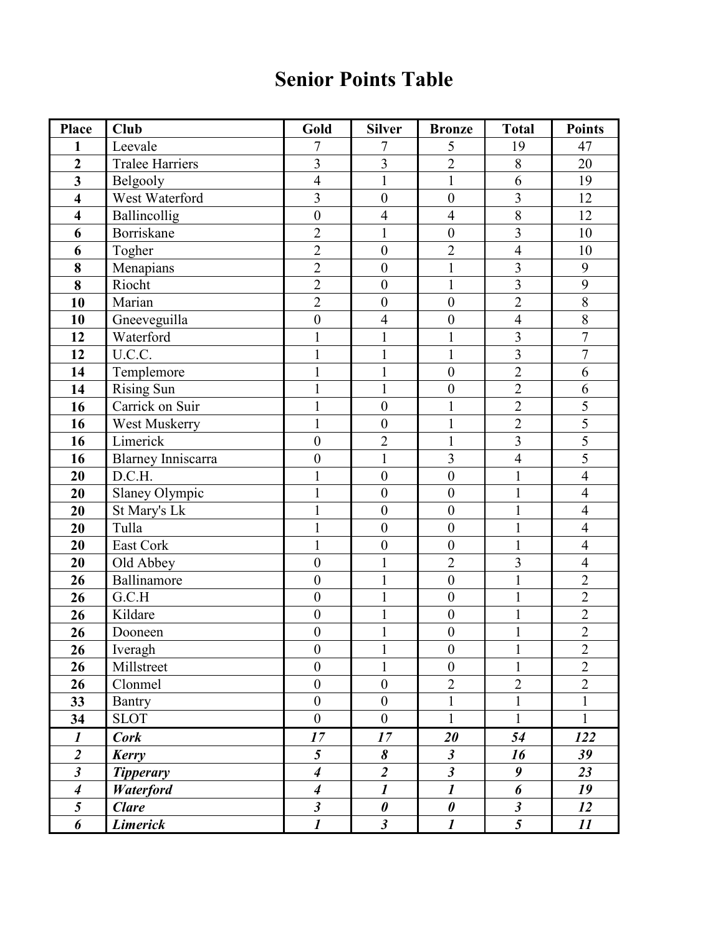### Senior Points Table

| Place                   | Club                      | Gold                    | <b>Silver</b>             | <b>Bronze</b>         | <b>Total</b>                   | <b>Points</b>  |
|-------------------------|---------------------------|-------------------------|---------------------------|-----------------------|--------------------------------|----------------|
| 1                       | Leevale                   | 7                       | 7                         | 5                     | 19                             | 47             |
| $\overline{2}$          | <b>Tralee Harriers</b>    | $\overline{\mathbf{3}}$ | $\overline{\mathbf{3}}$   | $\overline{2}$        | 8                              | 20             |
| $\overline{\mathbf{3}}$ | Belgooly                  | $\overline{4}$          | $\mathbf{1}$              | $\mathbf{1}$          | 6                              | 19             |
| $\overline{\mathbf{4}}$ | West Waterford            | $\overline{3}$          | $\boldsymbol{0}$          | $\boldsymbol{0}$      | $\overline{\mathbf{3}}$        | 12             |
| $\overline{\mathbf{4}}$ | Ballincollig              | $\boldsymbol{0}$        | $\overline{4}$            | $\overline{4}$        | 8                              | 12             |
| 6                       | Borriskane                | $\overline{2}$          | 1                         | $\boldsymbol{0}$      | 3                              | 10             |
| 6                       | Togher                    | $\overline{2}$          | $\boldsymbol{0}$          | $\overline{2}$        | $\overline{4}$                 | 10             |
| 8                       | Menapians                 | $\overline{2}$          | $\overline{0}$            | $\mathbf{1}$          | 3                              | 9              |
| 8                       | Riocht                    | $\overline{2}$          | $\boldsymbol{0}$          | $\mathbf{1}$          | $\overline{3}$                 | $\overline{9}$ |
| 10                      | Marian                    | $\overline{2}$          | $\boldsymbol{0}$          | $\boldsymbol{0}$      | $\overline{2}$                 | $\,$ $\,$      |
| 10                      | Gneeveguilla              | $\overline{0}$          | $\overline{4}$            | $\mathbf{0}$          | $\overline{4}$                 | $\overline{8}$ |
| 12                      | Waterford                 |                         | $\mathbf{1}$              | $\mathbf{1}$          | 3                              | $\overline{7}$ |
| 12                      | U.C.C.                    | 1                       | $\mathbf{1}$              | $\mathbf{1}$          | $\overline{3}$                 | $\overline{7}$ |
| 14                      | Templemore                |                         |                           | $\boldsymbol{0}$      | $\overline{c}$                 | 6              |
| 14                      | Rising Sun                |                         | $\mathbf{1}$              | $\boldsymbol{0}$      | $\overline{2}$                 | 6              |
| 16                      | Carrick on Suir           | 1                       | $\boldsymbol{0}$          | $\mathbf{1}$          | $\overline{c}$                 | 5              |
| 16                      | West Muskerry             | 1                       | $\overline{0}$            | $\mathbf{1}$          | $\overline{2}$                 | $\overline{5}$ |
| 16                      | Limerick                  | $\overline{0}$          | $\overline{2}$            | $\mathbf{1}$          | 3                              | $\overline{5}$ |
| 16                      | <b>Blarney Inniscarra</b> | $\overline{0}$          | $\mathbf{1}$              | $\overline{3}$        | $\overline{4}$                 | $\overline{5}$ |
| 20                      | D.C.H.                    |                         | $\boldsymbol{0}$          | $\boldsymbol{0}$      | 1                              | $\overline{4}$ |
| 20                      | Slaney Olympic            |                         | $\boldsymbol{0}$          | $\overline{0}$        | $\mathbf{1}$                   | $\overline{4}$ |
| 20                      | St Mary's Lk              |                         | $\overline{0}$            | $\boldsymbol{0}$      | $\mathbf{1}$                   | $\overline{4}$ |
| 20                      | Tulla                     |                         | $\boldsymbol{0}$          | $\boldsymbol{0}$      | $\mathbf{1}$                   | $\overline{4}$ |
| 20                      | East Cork                 |                         | $\mathbf{0}$              | $\boldsymbol{0}$      | $\mathbf{1}$                   | $\overline{4}$ |
| 20                      | Old Abbey                 | $\overline{0}$          |                           | $\overline{2}$        | 3                              | $\overline{4}$ |
| 26                      | Ballinamore               | $\overline{0}$          | 1                         | $\boldsymbol{0}$      | $\mathbf{1}$                   | $\overline{2}$ |
| 26                      | $\rm G.C.H$               | $\overline{0}$          |                           | $\boldsymbol{0}$      | $\mathbf{1}$                   | $\overline{2}$ |
| 26                      | Kildare                   | $\boldsymbol{0}$        |                           | $\boldsymbol{0}$      | $\mathbf{1}$                   | $\overline{2}$ |
| 26                      | Dooneen                   | $\boldsymbol{0}$        | 1                         | $\boldsymbol{0}$      | $\mathbf{1}$                   | $\overline{2}$ |
| 26                      | <b>Iveragh</b>            | $\overline{0}$          | $\blacksquare$<br>$\perp$ | $\boldsymbol{0}$      | $\blacksquare$<br>$\mathbf{I}$ | $\overline{2}$ |
| 26                      | Millstreet                | $\overline{0}$          | $\mathbf{1}$              | $\boldsymbol{0}$      | $\mathbf{1}$                   | $\overline{2}$ |
| 26                      | Clonmel                   | $\boldsymbol{0}$        | $\boldsymbol{0}$          | $\overline{2}$        | $\overline{2}$                 | $\overline{2}$ |
| 33                      | Bantry                    | $\overline{0}$          | $\boldsymbol{0}$          | $\mathbf{1}$          | $\mathbf{1}$                   | $\mathbf{1}$   |
| 34                      | $\operatorname{SLOT}$     | $\boldsymbol{0}$        | $\boldsymbol{0}$          | $\mathbf{1}$          | $\mathbf{1}$                   | $\mathbf{1}$   |
| $\boldsymbol{l}$        | <b>Cork</b>               | 17                      | 17                        | 20                    | 54                             | 122            |
| $\overline{\mathbf{c}}$ | <b>Kerry</b>              | 5                       | 8                         | $\boldsymbol{\beta}$  | 16                             | 39             |
| $\mathfrak{z}$          | <b>Tipperary</b>          | $\boldsymbol{4}$        | $\overline{2}$            | $\boldsymbol{\beta}$  | 9                              | 23             |
| $\boldsymbol{4}$        | <b>Waterford</b>          | $\boldsymbol{4}$        | $\boldsymbol{l}$          | $\boldsymbol{l}$      | 6                              | 19             |
| $\mathfrak{s}$          | <b>Clare</b>              | $\boldsymbol{\beta}$    | $\pmb{\theta}$            | $\boldsymbol{\theta}$ | $\boldsymbol{\beta}$           | 12             |
| 6                       | <b>Limerick</b>           | $\boldsymbol{l}$        | $\mathfrak{z}$            | $\boldsymbol{l}$      | $\overline{5}$                 | $11\,$         |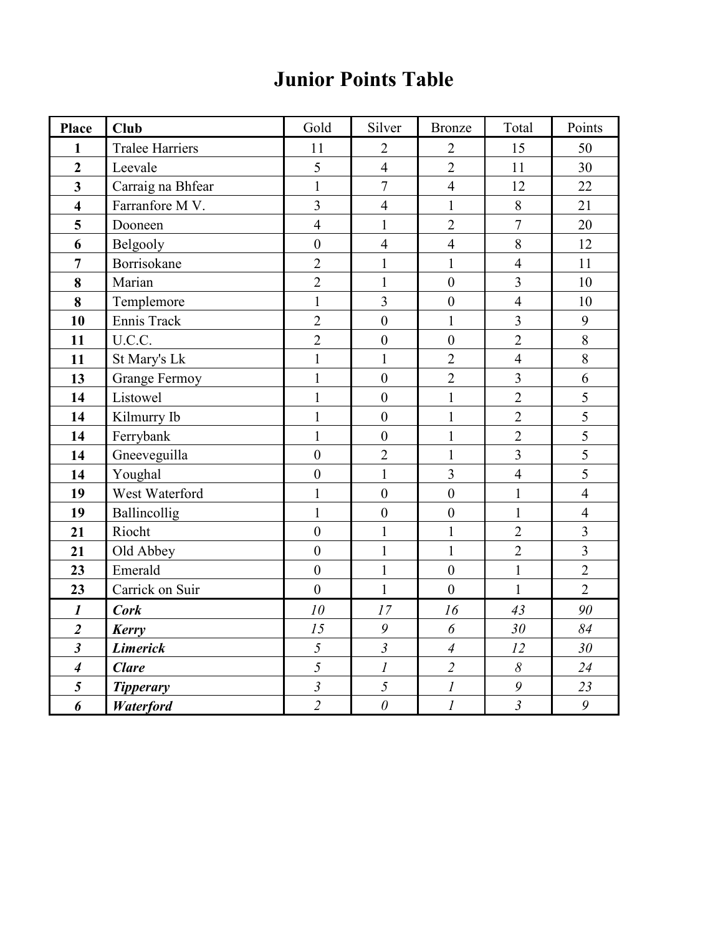### Junior Points Table

| Place                       | <b>Club</b>            | Gold                    | Silver           | <b>Bronze</b>    | Total          | Points                  |
|-----------------------------|------------------------|-------------------------|------------------|------------------|----------------|-------------------------|
| $\mathbf{1}$                | <b>Tralee Harriers</b> | 11                      | $\overline{2}$   | $\overline{2}$   | 15             | 50                      |
| $\overline{2}$              | Leevale                | 5                       | $\overline{4}$   | $\overline{2}$   | 11             | 30                      |
| $\overline{3}$              | Carraig na Bhfear      | $\mathbf{1}$            | $\overline{7}$   | $\overline{4}$   | 12             | 22                      |
| $\overline{\mathbf{4}}$     | Farranfore MV.         | $\overline{3}$          | $\overline{4}$   | $\mathbf{1}$     | $8\,$          | 21                      |
| 5                           | Dooneen                | $\overline{4}$          | $\mathbf{1}$     | $\overline{2}$   | $\overline{7}$ | 20                      |
| 6                           | Belgooly               | $\boldsymbol{0}$        | $\overline{4}$   | $\overline{4}$   | 8              | 12                      |
| $\overline{7}$              | Borrisokane            | $\overline{2}$          | $\mathbf{1}$     | $\mathbf{1}$     | $\overline{4}$ | 11                      |
| 8                           | Marian                 | $\overline{2}$          | $\mathbf{1}$     | $\boldsymbol{0}$ | $\overline{3}$ | 10                      |
| 8                           | Templemore             | $\mathbf{1}$            | $\overline{3}$   | $\boldsymbol{0}$ | $\overline{4}$ | 10                      |
| 10                          | Ennis Track            | $\overline{2}$          | $\boldsymbol{0}$ | $\mathbf{1}$     | $\overline{3}$ | 9                       |
| 11                          | U.C.C.                 | $\overline{2}$          | $\boldsymbol{0}$ | $\boldsymbol{0}$ | $\overline{2}$ | $8\,$                   |
| 11                          | St Mary's Lk           | $\mathbf{1}$            | $\mathbf{1}$     | $\overline{2}$   | $\overline{4}$ | 8                       |
| 13                          | <b>Grange Fermoy</b>   | $\mathbf{1}$            | $\mathbf{0}$     | $\overline{2}$   | $\overline{3}$ | 6                       |
| 14                          | Listowel               | $\mathbf{1}$            | $\boldsymbol{0}$ | $\mathbf{1}$     | $\overline{2}$ | $\overline{5}$          |
| 14                          | Kilmurry Ib            | $\mathbf{1}$            | $\boldsymbol{0}$ | $\mathbf{1}$     | $\overline{2}$ | $\overline{5}$          |
| 14                          | Ferrybank              | $\mathbf{1}$            | $\boldsymbol{0}$ | $\mathbf{1}$     | $\overline{2}$ | $\overline{5}$          |
| 14                          | Gneeveguilla           | $\boldsymbol{0}$        | $\overline{2}$   | $\mathbf{1}$     | $\overline{3}$ | 5                       |
| 14                          | Youghal                | $\boldsymbol{0}$        | $\mathbf{1}$     | $\overline{3}$   | $\overline{4}$ | $\overline{5}$          |
| 19                          | West Waterford         | $\mathbf{1}$            | $\boldsymbol{0}$ | $\mathbf{0}$     | $\mathbf{1}$   | $\overline{4}$          |
| 19                          | Ballincollig           | $\mathbf{1}$            | $\mathbf{0}$     | $\mathbf{0}$     | $\mathbf{1}$   | $\overline{4}$          |
| 21                          | Riocht                 | $\overline{0}$          | $\mathbf{1}$     | $\mathbf{1}$     | $\overline{2}$ | $\overline{3}$          |
| 21                          | Old Abbey              | $\boldsymbol{0}$        | $\mathbf{1}$     | $\mathbf{1}$     | $\overline{2}$ | $\overline{\mathbf{3}}$ |
| 23                          | Emerald                | $\overline{0}$          | $\mathbf{1}$     | $\mathbf{0}$     | $\mathbf{1}$   | $\overline{2}$          |
| 23                          | Carrick on Suir        | $\overline{0}$          | $\mathbf{1}$     | $\overline{0}$   | $\mathbf{1}$   | $\overline{2}$          |
| $\boldsymbol{l}$            | <b>Cork</b>            | 10                      | 17               | 16               | 43             | 90                      |
| $\overline{\mathbf{c}}$     | Kerry                  | 15                      | $\boldsymbol{9}$ | 6                | 30             | 84                      |
| $\overline{\mathbf{3}}$     | <b>Limerick</b>        | $\overline{5}$          | $\mathfrak{Z}$   | $\overline{A}$   | 12             | 30                      |
| $\overline{\boldsymbol{4}}$ | <b>Clare</b>           | $\overline{5}$          | $\overline{l}$   | $\overline{2}$   | $\delta$       | 24                      |
| 5                           | <b>Tipperary</b>       | $\overline{\mathbf{3}}$ | 5                | $\mathfrak l$    | 9              | 23                      |
| 6                           | Waterford              | $\overline{2}$          | $\theta$         | $\mathfrak l$    | $\overline{3}$ | 9                       |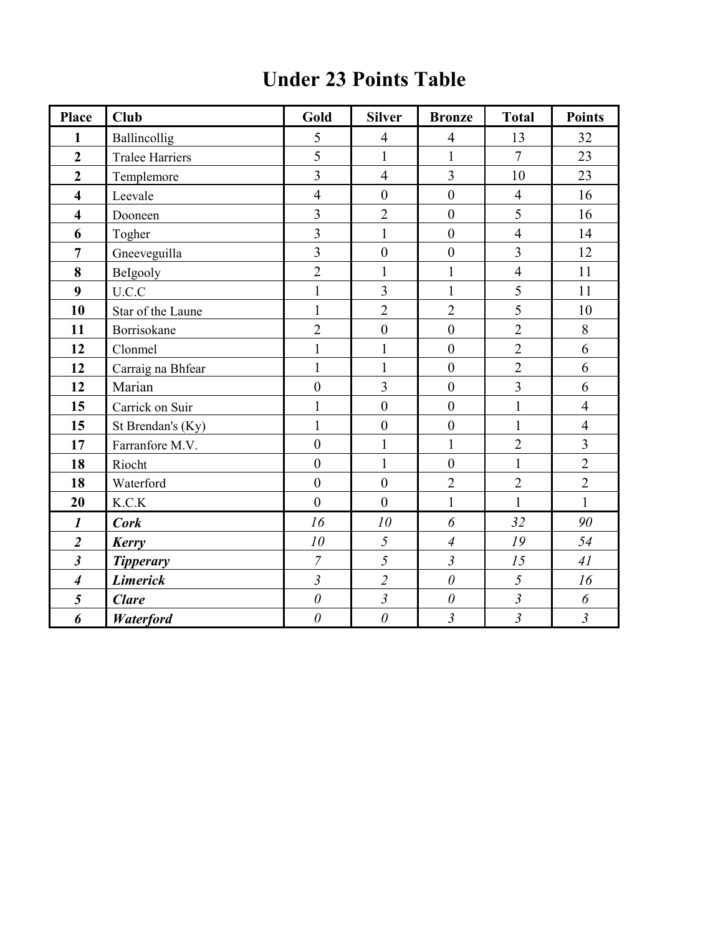### Under 23 Points Table

| <b>Place</b>                | <b>Club</b>            | Gold           | <b>Silver</b>    | <b>Bronze</b>    | <b>Total</b>   | <b>Points</b>  |
|-----------------------------|------------------------|----------------|------------------|------------------|----------------|----------------|
| 1                           | Ballincollig           | 5              | $\overline{4}$   | $\overline{4}$   | 13             | 32             |
| $\overline{2}$              | <b>Tralee Harriers</b> | 5              | $\mathbf{1}$     | $\mathbf{1}$     | $\overline{7}$ | 23             |
| $\overline{2}$              | Templemore             | $\overline{3}$ | $\overline{4}$   | $\overline{3}$   | 10             | 23             |
| $\overline{\mathbf{4}}$     | Leevale                | $\overline{4}$ | $\boldsymbol{0}$ | $\mathbf{0}$     | $\overline{4}$ | 16             |
| $\overline{\mathbf{4}}$     | Dooneen                | $\overline{3}$ | $\overline{2}$   | $\boldsymbol{0}$ | 5              | 16             |
| 6                           | Togher                 | $\overline{3}$ | $\mathbf{1}$     | $\boldsymbol{0}$ | $\overline{4}$ | 14             |
| $\overline{7}$              | Gneeveguilla           | $\overline{3}$ | $\mathbf{0}$     | $\mathbf{0}$     | $\overline{3}$ | 12             |
| 8                           | BeIgooly               | $\overline{2}$ | $\mathbf{1}$     | $\mathbf{1}$     | $\overline{4}$ | 11             |
| 9                           | U.C.C                  | $\mathbf{1}$   | $\overline{3}$   | $\mathbf{1}$     | 5              | 11             |
| 10                          | Star of the Laune      | $\mathbf{1}$   | $\overline{2}$   | $\overline{2}$   | 5              | 10             |
| 11                          | Borrisokane            | $\overline{2}$ | $\boldsymbol{0}$ | $\boldsymbol{0}$ | $\overline{2}$ | 8              |
| 12                          | Clonmel                | $\mathbf{1}$   | $\mathbf{1}$     | $\boldsymbol{0}$ | $\overline{2}$ | 6              |
| 12                          | Carraig na Bhfear      | $\mathbf{1}$   | $\mathbf{1}$     | $\boldsymbol{0}$ | $\overline{2}$ | 6              |
| 12                          | Marian                 | $\overline{0}$ | $\overline{3}$   | $\boldsymbol{0}$ | $\overline{3}$ | 6              |
| 15                          | Carrick on Suir        | $\mathbf{1}$   | $\boldsymbol{0}$ | $\boldsymbol{0}$ | $\mathbf{1}$   | $\overline{4}$ |
| 15                          | St Brendan's (Ky)      | $\mathbf{1}$   | $\boldsymbol{0}$ | $\boldsymbol{0}$ | $\mathbf{1}$   | $\overline{4}$ |
| 17                          | Farranfore M.V.        | $\overline{0}$ | $\mathbf{1}$     | $\mathbf{1}$     | $\overline{2}$ | $\overline{3}$ |
| 18                          | Riocht                 | $\overline{0}$ | $\mathbf{1}$     | $\boldsymbol{0}$ | $\mathbf{1}$   | $\overline{2}$ |
| 18                          | Waterford              | $\overline{0}$ | $\boldsymbol{0}$ | $\overline{2}$   | $\overline{2}$ | $\overline{2}$ |
| 20                          | K.C.K                  | $\overline{0}$ | $\overline{0}$   | $\mathbf{1}$     | $\mathbf{1}$   | $\mathbf{1}$   |
| $\boldsymbol{l}$            | <b>Cork</b>            | 16             | 10               | 6                | 32             | 90             |
| $\overline{\mathbf{2}}$     | Kerry                  | 10             | 5                | $\overline{4}$   | 19             | 54             |
| $\boldsymbol{\beta}$        | <b>Tipperary</b>       | $\overline{7}$ | 5                | $\mathfrak{Z}$   | 15             | 41             |
| $\overline{\boldsymbol{4}}$ | <b>Limerick</b>        | $\overline{3}$ | $\overline{2}$   | $\theta$         | 5              | 16             |
| 5                           | <b>Clare</b>           | $\theta$       | $\mathfrak{Z}$   | $\theta$         | $\mathfrak{Z}$ | 6              |
| 6                           | <b>Waterford</b>       | $\theta$       | $\theta$         | $\overline{3}$   | $\overline{3}$ | $\overline{3}$ |